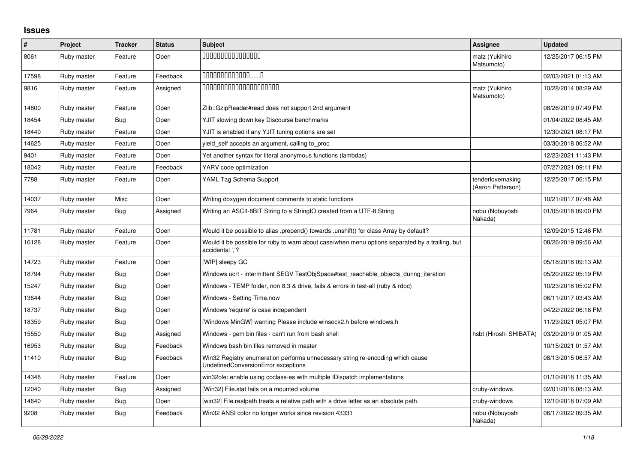## **Issues**

| $\pmb{\#}$ | Project     | <b>Tracker</b> | <b>Status</b> | <b>Subject</b>                                                                                                        | Assignee                              | <b>Updated</b>      |
|------------|-------------|----------------|---------------|-----------------------------------------------------------------------------------------------------------------------|---------------------------------------|---------------------|
| 8061       | Ruby master | Feature        | Open          | 000000000000000                                                                                                       | matz (Yukihiro<br>Matsumoto)          | 12/25/2017 06:15 PM |
| 17598      | Ruby master | Feature        | Feedback      | 00000000000000                                                                                                        |                                       | 02/03/2021 01:13 AM |
| 9816       | Ruby master | Feature        | Assigned      | 00000000000000000000                                                                                                  | matz (Yukihiro<br>Matsumoto)          | 10/28/2014 08:29 AM |
| 14800      | Ruby master | Feature        | Open          | Zlib::GzipReader#read does not support 2nd argument                                                                   |                                       | 08/26/2019 07:49 PM |
| 18454      | Ruby master | Bug            | Open          | YJIT slowing down key Discourse benchmarks                                                                            |                                       | 01/04/2022 08:45 AM |
| 18440      | Ruby master | Feature        | Open          | YJIT is enabled if any YJIT tuning options are set                                                                    |                                       | 12/30/2021 08:17 PM |
| 14625      | Ruby master | Feature        | Open          | yield self accepts an argument, calling to proc                                                                       |                                       | 03/30/2018 06:52 AM |
| 9401       | Ruby master | Feature        | Open          | Yet another syntax for literal anonymous functions (lambdas)                                                          |                                       | 12/23/2021 11:43 PM |
| 18042      | Ruby master | Feature        | Feedback      | YARV code optimization                                                                                                |                                       | 07/27/2021 09:11 PM |
| 7788       | Ruby master | Feature        | Open          | YAML Tag Schema Support                                                                                               | tenderlovemaking<br>(Aaron Patterson) | 12/25/2017 06:15 PM |
| 14037      | Ruby master | Misc           | Open          | Writing doxygen document comments to static functions                                                                 |                                       | 10/21/2017 07:48 AM |
| 7964       | Ruby master | Bug            | Assigned      | Writing an ASCII-8BIT String to a StringIO created from a UTF-8 String                                                | nobu (Nobuyoshi<br>Nakada)            | 01/05/2018 09:00 PM |
| 11781      | Ruby master | Feature        | Open          | Would it be possible to alias .prepend() towards .unshift() for class Array by default?                               |                                       | 12/09/2015 12:46 PM |
| 16128      | Ruby master | Feature        | Open          | Would it be possible for ruby to warn about case/when menu options separated by a trailing, but<br>accidental '.'?    |                                       | 08/26/2019 09:56 AM |
| 14723      | Ruby master | Feature        | Open          | [WIP] sleepy GC                                                                                                       |                                       | 05/18/2018 09:13 AM |
| 18794      | Ruby master | Bug            | Open          | Windows ucrt - intermittent SEGV TestObjSpace#test reachable objects during iteration                                 |                                       | 05/20/2022 05:19 PM |
| 15247      | Ruby master | Bug            | Open          | Windows - TEMP folder, non 8.3 & drive, fails & errors in test-all (ruby & rdoc)                                      |                                       | 10/23/2018 05:02 PM |
| 13644      | Ruby master | Bug            | Open          | Windows - Setting Time.now                                                                                            |                                       | 06/11/2017 03:43 AM |
| 18737      | Ruby master | <b>Bug</b>     | Open          | Windows 'require' is case independent                                                                                 |                                       | 04/22/2022 06:18 PM |
| 18359      | Ruby master | <b>Bug</b>     | Open          | [Windows MinGW] warning Please include winsock2.h before windows.h                                                    |                                       | 11/23/2021 05:07 PM |
| 15550      | Ruby master | Bug            | Assigned      | Windows - gem bin files - can't run from bash shell                                                                   | hsbt (Hiroshi SHIBATA)                | 03/20/2019 01:05 AM |
| 16953      | Ruby master | Bug            | Feedback      | Windows bash bin files removed in master                                                                              |                                       | 10/15/2021 01:57 AM |
| 11410      | Ruby master | Bug            | Feedback      | Win32 Registry enumeration performs unnecessary string re-encoding which cause<br>UndefinedConversionError exceptions |                                       | 08/13/2015 06:57 AM |
| 14348      | Ruby master | Feature        | Open          | win32ole: enable using coclass-es with multiple IDispatch implementations                                             |                                       | 01/10/2018 11:35 AM |
| 12040      | Ruby master | <b>Bug</b>     | Assigned      | [Win32] File.stat fails on a mounted volume                                                                           | cruby-windows                         | 02/01/2016 08:13 AM |
| 14640      | Ruby master | Bug            | Open          | [win32] File.realpath treats a relative path with a drive letter as an absolute path.                                 | cruby-windows                         | 12/10/2018 07:09 AM |
| 9208       | Ruby master | Bug            | Feedback      | Win32 ANSI color no longer works since revision 43331                                                                 | nobu (Nobuyoshi<br>Nakada)            | 06/17/2022 09:35 AM |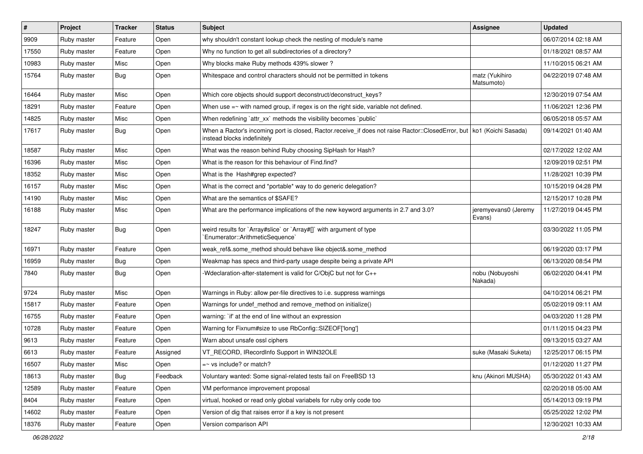| $\vert$ # | Project            | <b>Tracker</b> | <b>Status</b> | Subject                                                                                                                                                 | Assignee                       | <b>Updated</b>      |
|-----------|--------------------|----------------|---------------|---------------------------------------------------------------------------------------------------------------------------------------------------------|--------------------------------|---------------------|
| 9909      | Ruby master        | Feature        | Open          | why shouldn't constant lookup check the nesting of module's name                                                                                        |                                | 06/07/2014 02:18 AM |
| 17550     | Ruby master        | Feature        | Open          | Why no function to get all subdirectories of a directory?                                                                                               |                                | 01/18/2021 08:57 AM |
| 10983     | Ruby master        | Misc           | Open          | Why blocks make Ruby methods 439% slower?                                                                                                               |                                | 11/10/2015 06:21 AM |
| 15764     | Ruby master        | Bug            | Open          | Whitespace and control characters should not be permitted in tokens                                                                                     | matz (Yukihiro<br>Matsumoto)   | 04/22/2019 07:48 AM |
| 16464     | Ruby master        | Misc           | Open          | Which core objects should support deconstruct/deconstruct_keys?                                                                                         |                                | 12/30/2019 07:54 AM |
| 18291     | Ruby master        | Feature        | Open          | When use $=\sim$ with named group, if regex is on the right side, variable not defined.                                                                 |                                | 11/06/2021 12:36 PM |
| 14825     | Ruby master        | Misc           | Open          | When redefining 'attr_xx' methods the visibility becomes 'public'                                                                                       |                                | 06/05/2018 05:57 AM |
| 17617     | Ruby master        | Bug            | Open          | When a Ractor's incoming port is closed, Ractor.receive_if does not raise Ractor::ClosedError, but   ko1 (Koichi Sasada)<br>instead blocks indefinitely |                                | 09/14/2021 01:40 AM |
| 18587     | Ruby master        | Misc           | Open          | What was the reason behind Ruby choosing SipHash for Hash?                                                                                              |                                | 02/17/2022 12:02 AM |
| 16396     | Ruby master        | Misc           | Open          | What is the reason for this behaviour of Find.find?                                                                                                     |                                | 12/09/2019 02:51 PM |
| 18352     | Ruby master        | Misc           | Open          | What is the Hash#grep expected?                                                                                                                         |                                | 11/28/2021 10:39 PM |
| 16157     | Ruby master        | Misc           | Open          | What is the correct and *portable* way to do generic delegation?                                                                                        |                                | 10/15/2019 04:28 PM |
| 14190     | Ruby master        | Misc           | Open          | What are the semantics of \$SAFE?                                                                                                                       |                                | 12/15/2017 10:28 PM |
| 16188     | Ruby master        | Misc           | Open          | What are the performance implications of the new keyword arguments in 2.7 and 3.0?                                                                      | jeremyevans0 (Jeremy<br>Evans) | 11/27/2019 04:45 PM |
| 18247     | Ruby master        | Bug            | Open          | weird results for `Array#slice` or `Array#[]` with argument of type<br>`Enumerator::ArithmeticSequence`                                                 |                                | 03/30/2022 11:05 PM |
| 16971     | Ruby master        | Feature        | Open          | weak_ref&.some_method should behave like object&.some_method                                                                                            |                                | 06/19/2020 03:17 PM |
| 16959     | Ruby master        | <b>Bug</b>     | Open          | Weakmap has specs and third-party usage despite being a private API                                                                                     |                                | 06/13/2020 08:54 PM |
| 7840      | Ruby master        | <b>Bug</b>     | Open          | -Wdeclaration-after-statement is valid for C/ObjC but not for C++                                                                                       | nobu (Nobuyoshi<br>Nakada)     | 06/02/2020 04:41 PM |
| 9724      | Ruby master        | Misc           | Open          | Warnings in Ruby: allow per-file directives to i.e. suppress warnings                                                                                   |                                | 04/10/2014 06:21 PM |
| 15817     | Ruby master        | Feature        | Open          | Warnings for undef_method and remove_method on initialize()                                                                                             |                                | 05/02/2019 09:11 AM |
| 16755     | Ruby master        | Feature        | Open          | warning: `if' at the end of line without an expression                                                                                                  |                                | 04/03/2020 11:28 PM |
| 10728     | Ruby master        | Feature        | Open          | Warning for Fixnum#size to use RbConfig::SIZEOF['long']                                                                                                 |                                | 01/11/2015 04:23 PM |
| 9613      | Ruby master        | Feature        | Open          | Warn about unsafe ossl ciphers                                                                                                                          |                                | 09/13/2015 03:27 AM |
| 6613      | Ruby master        | Feature        | Assigned      | VT_RECORD, IRecordInfo Support in WIN32OLE                                                                                                              | suke (Masaki Suketa)           | 12/25/2017 06:15 PM |
| 16507     | <b>Ruby master</b> | Misc           | Open          | $=\sim$ vs include? or match?                                                                                                                           |                                | 01/12/2020 11:27 PM |
| 18613     | Ruby master        | <b>Bug</b>     | Feedback      | Voluntary wanted: Some signal-related tests fail on FreeBSD 13                                                                                          | knu (Akinori MUSHA)            | 05/30/2022 01:43 AM |
| 12589     | Ruby master        | Feature        | Open          | VM performance improvement proposal                                                                                                                     |                                | 02/20/2018 05:00 AM |
| 8404      | Ruby master        | Feature        | Open          | virtual, hooked or read only global variabels for ruby only code too                                                                                    |                                | 05/14/2013 09:19 PM |
| 14602     | Ruby master        | Feature        | Open          | Version of dig that raises error if a key is not present                                                                                                |                                | 05/25/2022 12:02 PM |
| 18376     | Ruby master        | Feature        | Open          | Version comparison API                                                                                                                                  |                                | 12/30/2021 10:33 AM |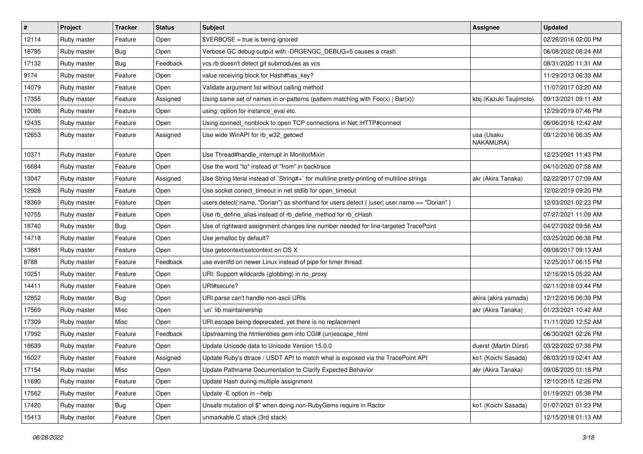| #     | Project     | <b>Tracker</b> | <b>Status</b> | <b>Subject</b>                                                                               | Assignee                | <b>Updated</b>      |
|-------|-------------|----------------|---------------|----------------------------------------------------------------------------------------------|-------------------------|---------------------|
| 12114 | Ruby master | Feature        | Open          | \$VERBOSE = true is being ignored                                                            |                         | 02/26/2016 02:00 PM |
| 18795 | Ruby master | <b>Bug</b>     | Open          | Verbose GC debug output with -DRGENGC_DEBUG=5 causes a crash                                 |                         | 06/08/2022 08:24 AM |
| 17132 | Ruby master | <b>Bug</b>     | Feedback      | vcs.rb doesn't detect git submodules as vcs                                                  |                         | 08/31/2020 11:31 AM |
| 9174  | Ruby master | Feature        | Open          | value receiving block for Hash#has_key?                                                      |                         | 11/29/2013 06:33 AM |
| 14079 | Ruby master | Feature        | Open          | Validate argument list without calling method                                                |                         | 11/07/2017 03:20 AM |
| 17355 | Ruby master | Feature        | Assigned      | Using same set of names in or-patterns (pattern matching with $Foo(x)   Bar(x)$ )            | ktsj (Kazuki Tsujimoto) | 09/13/2021 09:11 AM |
| 12086 | Ruby master | Feature        | Open          | using: option for instance_eval etc.                                                         |                         | 12/29/2019 07:46 PM |
| 12435 | Ruby master | Feature        | Open          | Using connect_nonblock to open TCP connections in Net::HTTP#connect                          |                         | 06/06/2016 12:42 AM |
| 12653 | Ruby master | Feature        | Assigned      | Use wide WinAPI for rb_w32_getcwd                                                            | usa (Usaku<br>NAKAMURA) | 09/12/2016 06:35 AM |
| 10371 | Ruby master | Feature        | Open          | Use Thread#handle_interrupt in MonitorMixin                                                  |                         | 12/23/2021 11:43 PM |
| 16684 | Ruby master | Feature        | Open          | Use the word "to" instead of "from" in backtrace                                             |                         | 04/10/2020 07:58 AM |
| 13047 | Ruby master | Feature        | Assigned      | Use String literal instead of `String#+` for multiline pretty-printing of multiline strings  | akr (Akira Tanaka)      | 02/22/2017 07:09 AM |
| 12928 | Ruby master | Feature        | Open          | Use socket conect_timeout in net stdlib for open_timeout                                     |                         | 12/02/2019 09:20 PM |
| 18369 | Ruby master | Feature        | Open          | users.detect(:name, "Dorian") as shorthand for users.detect {  user  user.name == "Dorian" } |                         | 12/03/2021 02:23 PM |
| 10755 | Ruby master | Feature        | Open          | Use rb_define_alias instead of rb_define_method for rb_cHash                                 |                         | 07/27/2021 11:09 AM |
| 18740 | Ruby master | Bug            | Open          | Use of rightward assignment changes line number needed for line-targeted TracePoint          |                         | 04/27/2022 09:56 AM |
| 14718 | Ruby master | Feature        | Open          | Use jemalloc by default?                                                                     |                         | 03/25/2020 06:38 PM |
| 13881 | Ruby master | Feature        | Open          | Use getcontext/setcontext on OS X                                                            |                         | 09/08/2017 09:13 AM |
| 8788  | Ruby master | Feature        | Feedback      | use eventfd on newer Linux instead of pipe for timer thread                                  |                         | 12/25/2017 06:15 PM |
| 10251 | Ruby master | Feature        | Open          | URI: Support wildcards (globbing) in no_proxy                                                |                         | 12/16/2015 05:22 AM |
| 14411 | Ruby master | Feature        | Open          | URI#secure?                                                                                  |                         | 02/11/2018 03:44 PM |
| 12852 | Ruby master | <b>Bug</b>     | Open          | URI.parse can't handle non-ascii URIs                                                        | akira (akira yamada)    | 12/12/2016 06:39 PM |
| 17569 | Ruby master | Misc           | Open          | uri lib maintainership                                                                       | akr (Akira Tanaka)      | 01/23/2021 10:42 AM |
| 17309 | Ruby master | Misc           | Open          | URI escape being deprecated, yet there is no replacement                                     |                         | 11/11/2020 12:52 AM |
| 17992 | Ruby master | Feature        | Feedback      | Upstreaming the htmlentities gem into CGI#.(un)escape_html                                   |                         | 06/30/2021 02:26 PM |
| 18639 | Ruby master | Feature        | Open          | Update Unicode data to Unicode Version 15.0.0                                                | duerst (Martin Dürst)   | 03/22/2022 07:38 PM |
| 16027 | Ruby master | Feature        | Assigned      | Update Ruby's dtrace / USDT API to match what is exposed via the TracePoint API              | ko1 (Koichi Sasada)     | 08/03/2019 02:41 AM |
| 17154 | Ruby master | Misc           | Open          | Update Pathname Documentation to Clarify Expected Behavior                                   | akr (Akira Tanaka)      | 09/05/2020 01:18 PM |
| 11690 | Ruby master | Feature        | Open          | Update Hash during multiple assignment                                                       |                         | 12/10/2015 12:26 PM |
| 17562 | Ruby master | Feature        | Open          | Update - E option in --help                                                                  |                         | 01/19/2021 05:38 PM |
| 17420 | Ruby master | Bug            | Open          | Unsafe mutation of \$" when doing non-RubyGems require in Ractor                             | ko1 (Koichi Sasada)     | 01/07/2021 01:23 PM |
| 15413 | Ruby master | Feature        | Open          | unmarkable C stack (3rd stack)                                                               |                         | 12/15/2018 01:13 AM |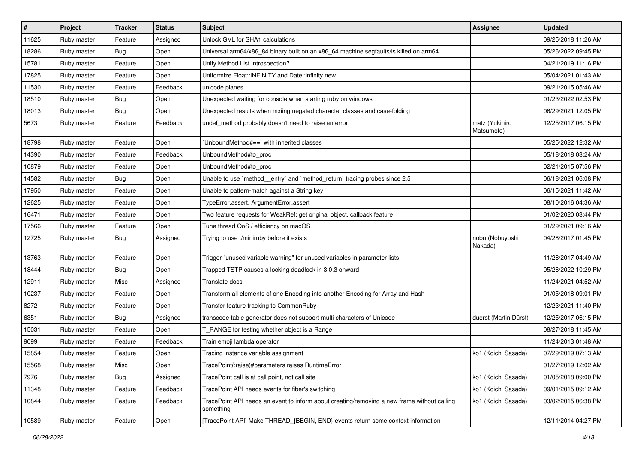| $\sharp$ | Project     | <b>Tracker</b> | <b>Status</b> | Subject                                                                                                  | <b>Assignee</b>              | <b>Updated</b>      |
|----------|-------------|----------------|---------------|----------------------------------------------------------------------------------------------------------|------------------------------|---------------------|
| 11625    | Ruby master | Feature        | Assigned      | Unlock GVL for SHA1 calculations                                                                         |                              | 09/25/2018 11:26 AM |
| 18286    | Ruby master | Bug            | Open          | Universal arm64/x86_84 binary built on an x86_64 machine segfaults/is killed on arm64                    |                              | 05/26/2022 09:45 PM |
| 15781    | Ruby master | Feature        | Open          | Unify Method List Introspection?                                                                         |                              | 04/21/2019 11:16 PM |
| 17825    | Ruby master | Feature        | Open          | Uniformize Float::INFINITY and Date::infinity.new                                                        |                              | 05/04/2021 01:43 AM |
| 11530    | Ruby master | Feature        | Feedback      | unicode planes                                                                                           |                              | 09/21/2015 05:46 AM |
| 18510    | Ruby master | Bug            | Open          | Unexpected waiting for console when starting ruby on windows                                             |                              | 01/23/2022 02:53 PM |
| 18013    | Ruby master | Bug            | Open          | Unexpected results when mxiing negated character classes and case-folding                                |                              | 06/29/2021 12:05 PM |
| 5673     | Ruby master | Feature        | Feedback      | undef_method probably doesn't need to raise an error                                                     | matz (Yukihiro<br>Matsumoto) | 12/25/2017 06:15 PM |
| 18798    | Ruby master | Feature        | Open          | 'UnboundMethod#==' with inherited classes                                                                |                              | 05/25/2022 12:32 AM |
| 14390    | Ruby master | Feature        | Feedback      | UnboundMethod#to proc                                                                                    |                              | 05/18/2018 03:24 AM |
| 10879    | Ruby master | Feature        | Open          | UnboundMethod#to_proc                                                                                    |                              | 02/21/2015 07:56 PM |
| 14582    | Ruby master | <b>Bug</b>     | Open          | Unable to use `method_entry` and `method_return` tracing probes since 2.5                                |                              | 06/18/2021 06:08 PM |
| 17950    | Ruby master | Feature        | Open          | Unable to pattern-match against a String key                                                             |                              | 06/15/2021 11:42 AM |
| 12625    | Ruby master | Feature        | Open          | TypeError.assert, ArgumentError.assert                                                                   |                              | 08/10/2016 04:36 AM |
| 16471    | Ruby master | Feature        | Open          | Two feature requests for WeakRef: get original object, callback feature                                  |                              | 01/02/2020 03:44 PM |
| 17566    | Ruby master | Feature        | Open          | Tune thread QoS / efficiency on macOS                                                                    |                              | 01/29/2021 09:16 AM |
| 12725    | Ruby master | Bug            | Assigned      | Trying to use ./miniruby before it exists                                                                | nobu (Nobuyoshi<br>Nakada)   | 04/28/2017 01:45 PM |
| 13763    | Ruby master | Feature        | Open          | Trigger "unused variable warning" for unused variables in parameter lists                                |                              | 11/28/2017 04:49 AM |
| 18444    | Ruby master | <b>Bug</b>     | Open          | Trapped TSTP causes a locking deadlock in 3.0.3 onward                                                   |                              | 05/26/2022 10:29 PM |
| 12911    | Ruby master | Misc           | Assigned      | Translate docs                                                                                           |                              | 11/24/2021 04:52 AM |
| 10237    | Ruby master | Feature        | Open          | Transform all elements of one Encoding into another Encoding for Array and Hash                          |                              | 01/05/2018 09:01 PM |
| 8272     | Ruby master | Feature        | Open          | Transfer feature tracking to CommonRuby                                                                  |                              | 12/23/2021 11:40 PM |
| 6351     | Ruby master | Bug            | Assigned      | transcode table generator does not support multi characters of Unicode                                   | duerst (Martin Dürst)        | 12/25/2017 06:15 PM |
| 15031    | Ruby master | Feature        | Open          | T_RANGE for testing whether object is a Range                                                            |                              | 08/27/2018 11:45 AM |
| 9099     | Ruby master | Feature        | Feedback      | Train emoji lambda operator                                                                              |                              | 11/24/2013 01:48 AM |
| 15854    | Ruby master | Feature        | Open          | Tracing instance variable assignment                                                                     | ko1 (Koichi Sasada)          | 07/29/2019 07:13 AM |
| 15568    | Ruby master | Misc           | Open          | TracePoint(:raise)#parameters raises RuntimeError                                                        |                              | 01/27/2019 12:02 AM |
| 7976     | Ruby master | <b>Bug</b>     | Assigned      | TracePoint call is at call point, not call site                                                          | ko1 (Koichi Sasada)          | 01/05/2018 09:00 PM |
| 11348    | Ruby master | Feature        | Feedback      | TracePoint API needs events for fiber's switching                                                        | ko1 (Koichi Sasada)          | 09/01/2015 09:12 AM |
| 10844    | Ruby master | Feature        | Feedback      | TracePoint API needs an event to inform about creating/removing a new frame without calling<br>something | ko1 (Koichi Sasada)          | 03/02/2015 06:38 PM |
| 10589    | Ruby master | Feature        | Open          | [TracePoint API] Make THREAD_{BEGIN, END} events return some context information                         |                              | 12/11/2014 04:27 PM |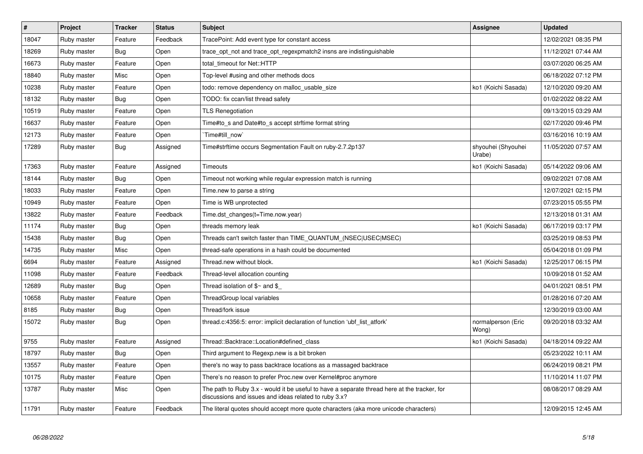| $\vert$ # | Project     | <b>Tracker</b> | <b>Status</b> | <b>Subject</b>                                                                                                                                        | Assignee                     | <b>Updated</b>      |
|-----------|-------------|----------------|---------------|-------------------------------------------------------------------------------------------------------------------------------------------------------|------------------------------|---------------------|
| 18047     | Ruby master | Feature        | Feedback      | TracePoint: Add event type for constant access                                                                                                        |                              | 12/02/2021 08:35 PM |
| 18269     | Ruby master | Bug            | Open          | trace opt not and trace opt regexpmatch2 insns are indistinguishable                                                                                  |                              | 11/12/2021 07:44 AM |
| 16673     | Ruby master | Feature        | Open          | total timeout for Net::HTTP                                                                                                                           |                              | 03/07/2020 06:25 AM |
| 18840     | Ruby master | Misc           | Open          | Top-level #using and other methods docs                                                                                                               |                              | 06/18/2022 07:12 PM |
| 10238     | Ruby master | Feature        | Open          | todo: remove dependency on malloc_usable_size                                                                                                         | ko1 (Koichi Sasada)          | 12/10/2020 09:20 AM |
| 18132     | Ruby master | Bug            | Open          | TODO: fix ccan/list thread safety                                                                                                                     |                              | 01/02/2022 08:22 AM |
| 10519     | Ruby master | Feature        | Open          | <b>TLS Renegotiation</b>                                                                                                                              |                              | 09/13/2015 03:29 AM |
| 16637     | Ruby master | Feature        | Open          | Time#to s and Date#to s accept strftime format string                                                                                                 |                              | 02/17/2020 09:46 PM |
| 12173     | Ruby master | Feature        | Open          | Time#till now`                                                                                                                                        |                              | 03/16/2016 10:19 AM |
| 17289     | Ruby master | Bug            | Assigned      | Time#strftime occurs Segmentation Fault on ruby-2.7.2p137                                                                                             | shyouhei (Shyouhei<br>Urabe) | 11/05/2020 07:57 AM |
| 17363     | Ruby master | Feature        | Assigned      | Timeouts                                                                                                                                              | ko1 (Koichi Sasada)          | 05/14/2022 09:06 AM |
| 18144     | Ruby master | Bug            | Open          | Timeout not working while regular expression match is running                                                                                         |                              | 09/02/2021 07:08 AM |
| 18033     | Ruby master | Feature        | Open          | Time.new to parse a string                                                                                                                            |                              | 12/07/2021 02:15 PM |
| 10949     | Ruby master | Feature        | Open          | Time is WB unprotected                                                                                                                                |                              | 07/23/2015 05:55 PM |
| 13822     | Ruby master | Feature        | Feedback      | Time.dst changes(t=Time.now.year)                                                                                                                     |                              | 12/13/2018 01:31 AM |
| 11174     | Ruby master | Bug            | Open          | threads memory leak                                                                                                                                   | ko1 (Koichi Sasada)          | 06/17/2019 03:17 PM |
| 15438     | Ruby master | <b>Bug</b>     | Open          | Threads can't switch faster than TIME QUANTUM (NSEC USEC MSEC)                                                                                        |                              | 03/25/2019 08:53 PM |
| 14735     | Ruby master | Misc           | Open          | thread-safe operations in a hash could be documented                                                                                                  |                              | 05/04/2018 01:09 PM |
| 6694      | Ruby master | Feature        | Assigned      | Thread.new without block.                                                                                                                             | ko1 (Koichi Sasada)          | 12/25/2017 06:15 PM |
| 11098     | Ruby master | Feature        | Feedback      | Thread-level allocation counting                                                                                                                      |                              | 10/09/2018 01:52 AM |
| 12689     | Ruby master | <b>Bug</b>     | Open          | Thread isolation of $$~$ and \$                                                                                                                       |                              | 04/01/2021 08:51 PM |
| 10658     | Ruby master | Feature        | Open          | ThreadGroup local variables                                                                                                                           |                              | 01/28/2016 07:20 AM |
| 8185      | Ruby master | Bug            | Open          | Thread/fork issue                                                                                                                                     |                              | 12/30/2019 03:00 AM |
| 15072     | Ruby master | Bug            | Open          | thread.c:4356:5: error: implicit declaration of function 'ubf list atfork'                                                                            | normalperson (Eric<br>Wong)  | 09/20/2018 03:32 AM |
| 9755      | Ruby master | Feature        | Assigned      | Thread::Backtrace::Location#defined class                                                                                                             | ko1 (Koichi Sasada)          | 04/18/2014 09:22 AM |
| 18797     | Ruby master | <b>Bug</b>     | Open          | Third argument to Regexp.new is a bit broken                                                                                                          |                              | 05/23/2022 10:11 AM |
| 13557     | Ruby master | Feature        | Open          | there's no way to pass backtrace locations as a massaged backtrace                                                                                    |                              | 06/24/2019 08:21 PM |
| 10175     | Ruby master | Feature        | Open          | There's no reason to prefer Proc.new over Kernel#proc anymore                                                                                         |                              | 11/10/2014 11:07 PM |
| 13787     | Ruby master | Misc           | Open          | The path to Ruby 3.x - would it be useful to have a separate thread here at the tracker, for<br>discussions and issues and ideas related to ruby 3.x? |                              | 08/08/2017 08:29 AM |
| 11791     | Ruby master | Feature        | Feedback      | The literal quotes should accept more quote characters (aka more unicode characters)                                                                  |                              | 12/09/2015 12:45 AM |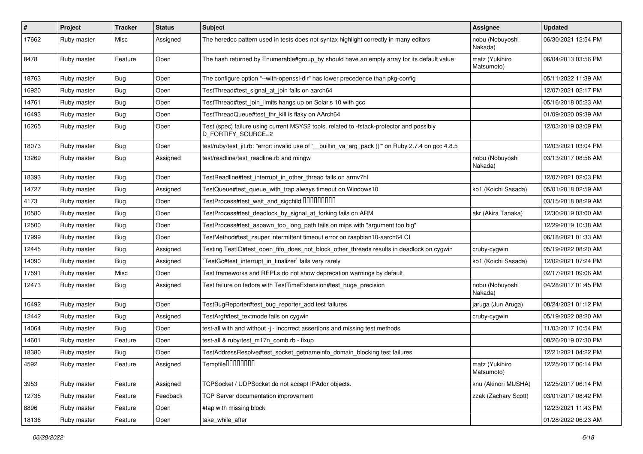| $\sharp$ | Project     | <b>Tracker</b> | <b>Status</b> | Subject                                                                                                        | <b>Assignee</b>              | <b>Updated</b>      |
|----------|-------------|----------------|---------------|----------------------------------------------------------------------------------------------------------------|------------------------------|---------------------|
| 17662    | Ruby master | Misc           | Assigned      | The heredoc pattern used in tests does not syntax highlight correctly in many editors                          | nobu (Nobuyoshi<br>Nakada)   | 06/30/2021 12:54 PM |
| 8478     | Ruby master | Feature        | Open          | The hash returned by Enumerable#group_by should have an empty array for its default value                      | matz (Yukihiro<br>Matsumoto) | 06/04/2013 03:56 PM |
| 18763    | Ruby master | Bug            | Open          | The configure option "--with-openssl-dir" has lower precedence than pkg-config                                 |                              | 05/11/2022 11:39 AM |
| 16920    | Ruby master | Bug            | Open          | TestThread#test signal at join fails on aarch64                                                                |                              | 12/07/2021 02:17 PM |
| 14761    | Ruby master | Bug            | Open          | TestThread#test_join_limits hangs up on Solaris 10 with gcc                                                    |                              | 05/16/2018 05:23 AM |
| 16493    | Ruby master | Bug            | Open          | TestThreadQueue#test thr kill is flaky on AArch64                                                              |                              | 01/09/2020 09:39 AM |
| 16265    | Ruby master | Bug            | Open          | Test (spec) failure using current MSYS2 tools, related to -fstack-protector and possibly<br>D_FORTIFY_SOURCE=2 |                              | 12/03/2019 03:09 PM |
| 18073    | Ruby master | <b>Bug</b>     | Open          | test/ruby/test_jit.rb: "error: invalid use of '__builtin_va_arg_pack ()"" on Ruby 2.7.4 on gcc 4.8.5           |                              | 12/03/2021 03:04 PM |
| 13269    | Ruby master | Bug            | Assigned      | test/readline/test_readline.rb and mingw                                                                       | nobu (Nobuyoshi<br>Nakada)   | 03/13/2017 08:56 AM |
| 18393    | Ruby master | <b>Bug</b>     | Open          | TestReadline#test interrupt in other thread fails on armv7hl                                                   |                              | 12/07/2021 02:03 PM |
| 14727    | Ruby master | Bug            | Assigned      | TestQueue#test_queue_with_trap always timeout on Windows10                                                     | ko1 (Koichi Sasada)          | 05/01/2018 02:59 AM |
| 4173     | Ruby master | Bug            | Open          | TestProcess#test wait and sigchild DDDDDDDD                                                                    |                              | 03/15/2018 08:29 AM |
| 10580    | Ruby master | Bug            | Open          | TestProcess#test_deadlock_by_signal_at_forking fails on ARM                                                    | akr (Akira Tanaka)           | 12/30/2019 03:00 AM |
| 12500    | Ruby master | Bug            | Open          | TestProcess#test_aspawn_too_long_path fails on mips with "argument too big"                                    |                              | 12/29/2019 10:38 AM |
| 17999    | Ruby master | Bug            | Open          | TestMethod#test zsuper intermittent timeout error on raspbian10-aarch64 CI                                     |                              | 06/18/2021 01:33 AM |
| 12445    | Ruby master | Bug            | Assigned      | Testing TestIO#test_open_fifo_does_not_block_other_threads results in deadlock on cygwin                       | cruby-cygwin                 | 05/19/2022 08:20 AM |
| 14090    | Ruby master | Bug            | Assigned      | TestGc#test interrupt in finalizer` fails very rarely                                                          | ko1 (Koichi Sasada)          | 12/02/2021 07:24 PM |
| 17591    | Ruby master | Misc           | Open          | Test frameworks and REPLs do not show deprecation warnings by default                                          |                              | 02/17/2021 09:06 AM |
| 12473    | Ruby master | Bug            | Assigned      | Test failure on fedora with TestTimeExtension#test huge precision                                              | nobu (Nobuyoshi<br>Nakada)   | 04/28/2017 01:45 PM |
| 16492    | Ruby master | Bug            | Open          | TestBugReporter#test_bug_reporter_add test failures                                                            | jaruga (Jun Aruga)           | 08/24/2021 01:12 PM |
| 12442    | Ruby master | Bug            | Assigned      | TestArgf#test_textmode fails on cygwin                                                                         | cruby-cygwin                 | 05/19/2022 08:20 AM |
| 14064    | Ruby master | Bug            | Open          | test-all with and without -j - incorrect assertions and missing test methods                                   |                              | 11/03/2017 10:54 PM |
| 14601    | Ruby master | Feature        | Open          | test-all & ruby/test_m17n_comb.rb - fixup                                                                      |                              | 08/26/2019 07:30 PM |
| 18380    | Ruby master | Bug            | Open          | TestAddressResolve#test_socket_getnameinfo_domain_blocking test failures                                       |                              | 12/21/2021 04:22 PM |
| 4592     | Ruby master | Feature        | Assigned      | Tempfile00000000                                                                                               | matz (Yukihiro<br>Matsumoto) | 12/25/2017 06:14 PM |
| 3953     | Ruby master | Feature        | Assigned      | TCPSocket / UDPSocket do not accept IPAddr objects.                                                            | knu (Akinori MUSHA)          | 12/25/2017 06:14 PM |
| 12735    | Ruby master | Feature        | Feedback      | TCP Server documentation improvement                                                                           | zzak (Zachary Scott)         | 03/01/2017 08:42 PM |
| 8896     | Ruby master | Feature        | Open          | #tap with missing block                                                                                        |                              | 12/23/2021 11:43 PM |
| 18136    | Ruby master | Feature        | Open          | take while after                                                                                               |                              | 01/28/2022 06:23 AM |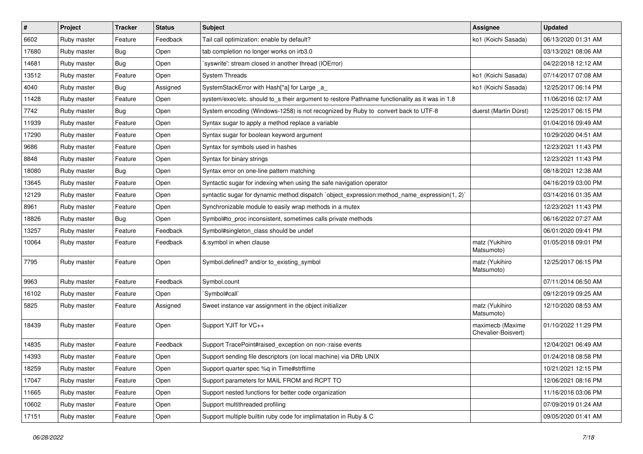| $\vert$ # | Project     | <b>Tracker</b> | <b>Status</b> | Subject                                                                                        | <b>Assignee</b>                         | <b>Updated</b>      |
|-----------|-------------|----------------|---------------|------------------------------------------------------------------------------------------------|-----------------------------------------|---------------------|
| 6602      | Ruby master | Feature        | Feedback      | Tail call optimization: enable by default?                                                     | ko1 (Koichi Sasada)                     | 06/13/2020 01:31 AM |
| 17680     | Ruby master | Bug            | Open          | tab completion no longer works on irb3.0                                                       |                                         | 03/13/2021 08:06 AM |
| 14681     | Ruby master | Bug            | Open          | `syswrite': stream closed in another thread (IOError)                                          |                                         | 04/22/2018 12:12 AM |
| 13512     | Ruby master | Feature        | Open          | <b>System Threads</b>                                                                          | ko1 (Koichi Sasada)                     | 07/14/2017 07:08 AM |
| 4040      | Ruby master | Bug            | Assigned      | SystemStackError with Hash[*a] for Large _a_                                                   | ko1 (Koichi Sasada)                     | 12/25/2017 06:14 PM |
| 11428     | Ruby master | Feature        | Open          | system/exec/etc. should to s their argument to restore Pathname functionality as it was in 1.8 |                                         | 11/06/2016 02:17 AM |
| 7742      | Ruby master | <b>Bug</b>     | Open          | System encoding (Windows-1258) is not recognized by Ruby to convert back to UTF-8              | duerst (Martin Dürst)                   | 12/25/2017 06:15 PM |
| 11939     | Ruby master | Feature        | Open          | Syntax sugar to apply a method replace a variable                                              |                                         | 01/04/2016 09:49 AM |
| 17290     | Ruby master | Feature        | Open          | Syntax sugar for boolean keyword argument                                                      |                                         | 10/29/2020 04:51 AM |
| 9686      | Ruby master | Feature        | Open          | Syntax for symbols used in hashes                                                              |                                         | 12/23/2021 11:43 PM |
| 8848      | Ruby master | Feature        | Open          | Syntax for binary strings                                                                      |                                         | 12/23/2021 11:43 PM |
| 18080     | Ruby master | <b>Bug</b>     | Open          | Syntax error on one-line pattern matching                                                      |                                         | 08/18/2021 12:38 AM |
| 13645     | Ruby master | Feature        | Open          | Syntactic sugar for indexing when using the safe navigation operator                           |                                         | 04/16/2019 03:00 PM |
| 12129     | Ruby master | Feature        | Open          | syntactic sugar for dynamic method dispatch `object_expression:method_name_expression(1, 2)`   |                                         | 03/14/2016 01:35 AM |
| 8961      | Ruby master | Feature        | Open          | Synchronizable module to easily wrap methods in a mutex                                        |                                         | 12/23/2021 11:43 PM |
| 18826     | Ruby master | <b>Bug</b>     | Open          | Symbol#to_proc inconsistent, sometimes calls private methods                                   |                                         | 06/16/2022 07:27 AM |
| 13257     | Ruby master | Feature        | Feedback      | Symbol#singleton class should be undef                                                         |                                         | 06/01/2020 09:41 PM |
| 10064     | Ruby master | Feature        | Feedback      | &:symbol in when clause                                                                        | matz (Yukihiro<br>Matsumoto)            | 01/05/2018 09:01 PM |
| 7795      | Ruby master | Feature        | Open          | Symbol.defined? and/or to_existing_symbol                                                      | matz (Yukihiro<br>Matsumoto)            | 12/25/2017 06:15 PM |
| 9963      | Ruby master | Feature        | Feedback      | Symbol.count                                                                                   |                                         | 07/11/2014 06:50 AM |
| 16102     | Ruby master | Feature        | Open          | `Symbol#call`                                                                                  |                                         | 09/12/2019 09:25 AM |
| 5825      | Ruby master | Feature        | Assigned      | Sweet instance var assignment in the object initializer                                        | matz (Yukihiro<br>Matsumoto)            | 12/10/2020 08:53 AM |
| 18439     | Ruby master | Feature        | Open          | Support YJIT for VC++                                                                          | maximecb (Maxime<br>Chevalier-Boisvert) | 01/10/2022 11:29 PM |
| 14835     | Ruby master | Feature        | Feedback      | Support TracePoint#raised_exception on non-:raise events                                       |                                         | 12/04/2021 06:49 AM |
| 14393     | Ruby master | Feature        | Open          | Support sending file descriptors (on local machine) via DRb UNIX                               |                                         | 01/24/2018 08:58 PM |
| 18259     | Ruby master | Feature        | Open          | Support quarter spec %q in Time#strftime                                                       |                                         | 10/21/2021 12:15 PM |
| 17047     | Ruby master | Feature        | Open          | Support parameters for MAIL FROM and RCPT TO                                                   |                                         | 12/06/2021 08:16 PM |
| 11665     | Ruby master | Feature        | Open          | Support nested functions for better code organization                                          |                                         | 11/16/2016 03:06 PM |
| 10602     | Ruby master | Feature        | Open          | Support multithreaded profiling                                                                |                                         | 07/09/2019 01:24 AM |
| 17151     | Ruby master | Feature        | Open          | Support multiple builtin ruby code for implimatation in Ruby & C                               |                                         | 09/05/2020 01:41 AM |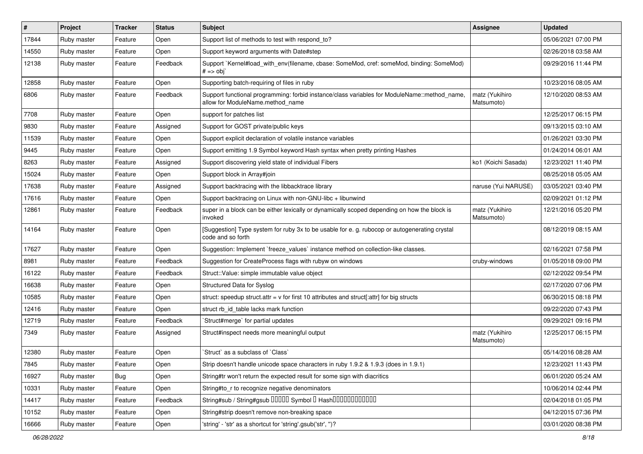| #     | Project     | <b>Tracker</b> | <b>Status</b> | <b>Subject</b>                                                                                                                   | Assignee                     | <b>Updated</b>      |
|-------|-------------|----------------|---------------|----------------------------------------------------------------------------------------------------------------------------------|------------------------------|---------------------|
| 17844 | Ruby master | Feature        | Open          | Support list of methods to test with respond_to?                                                                                 |                              | 05/06/2021 07:00 PM |
| 14550 | Ruby master | Feature        | Open          | Support keyword arguments with Date#step                                                                                         |                              | 02/26/2018 03:58 AM |
| 12138 | Ruby master | Feature        | Feedback      | Support `Kernel#load_with_env(filename, cbase: SomeMod, cref: someMod, binding: SomeMod)<br>$# ==$ obj                           |                              | 09/29/2016 11:44 PM |
| 12858 | Ruby master | Feature        | Open          | Supporting batch-requiring of files in ruby                                                                                      |                              | 10/23/2016 08:05 AM |
| 6806  | Ruby master | Feature        | Feedback      | Support functional programming: forbid instance/class variables for ModuleName::method_name,<br>allow for ModuleName.method name | matz (Yukihiro<br>Matsumoto) | 12/10/2020 08:53 AM |
| 7708  | Ruby master | Feature        | Open          | support for patches list                                                                                                         |                              | 12/25/2017 06:15 PM |
| 9830  | Ruby master | Feature        | Assigned      | Support for GOST private/public keys                                                                                             |                              | 09/13/2015 03:10 AM |
| 11539 | Ruby master | Feature        | Open          | Support explicit declaration of volatile instance variables                                                                      |                              | 01/26/2021 03:30 PM |
| 9445  | Ruby master | Feature        | Open          | Support emitting 1.9 Symbol keyword Hash syntax when pretty printing Hashes                                                      |                              | 01/24/2014 06:01 AM |
| 8263  | Ruby master | Feature        | Assigned      | Support discovering yield state of individual Fibers                                                                             | ko1 (Koichi Sasada)          | 12/23/2021 11:40 PM |
| 15024 | Ruby master | Feature        | Open          | Support block in Array#join                                                                                                      |                              | 08/25/2018 05:05 AM |
| 17638 | Ruby master | Feature        | Assigned      | Support backtracing with the libbacktrace library                                                                                | naruse (Yui NARUSE)          | 03/05/2021 03:40 PM |
| 17616 | Ruby master | Feature        | Open          | Support backtracing on Linux with non-GNU-libc + libunwind                                                                       |                              | 02/09/2021 01:12 PM |
| 12861 | Ruby master | Feature        | Feedback      | super in a block can be either lexically or dynamically scoped depending on how the block is<br>invoked                          | matz (Yukihiro<br>Matsumoto) | 12/21/2016 05:20 PM |
| 14164 | Ruby master | Feature        | Open          | [Suggestion] Type system for ruby 3x to be usable for e. g. rubocop or autogenerating crystal<br>code and so forth               |                              | 08/12/2019 08:15 AM |
| 17627 | Ruby master | Feature        | Open          | Suggestion: Implement `freeze_values` instance method on collection-like classes.                                                |                              | 02/16/2021 07:58 PM |
| 8981  | Ruby master | Feature        | Feedback      | Suggestion for CreateProcess flags with rubyw on windows                                                                         | cruby-windows                | 01/05/2018 09:00 PM |
| 16122 | Ruby master | Feature        | Feedback      | Struct::Value: simple immutable value object                                                                                     |                              | 02/12/2022 09:54 PM |
| 16638 | Ruby master | Feature        | Open          | Structured Data for Syslog                                                                                                       |                              | 02/17/2020 07:06 PM |
| 10585 | Ruby master | Feature        | Open          | struct: speedup struct.attr = $v$ for first 10 attributes and struct[:attr] for big structs                                      |                              | 06/30/2015 08:18 PM |
| 12416 | Ruby master | Feature        | Open          | struct rb_id_table lacks mark function                                                                                           |                              | 09/22/2020 07:43 PM |
| 12719 | Ruby master | Feature        | Feedback      | 'Struct#merge' for partial updates                                                                                               |                              | 09/29/2021 09:16 PM |
| 7349  | Ruby master | Feature        | Assigned      | Struct#inspect needs more meaningful output                                                                                      | matz (Yukihiro<br>Matsumoto) | 12/25/2017 06:15 PM |
| 12380 | Ruby master | Feature        | Open          | 'Struct' as a subclass of 'Class'                                                                                                |                              | 05/14/2016 08:28 AM |
| 7845  | Ruby master | Feature        | Open          | Strip doesn't handle unicode space characters in ruby 1.9.2 & 1.9.3 (does in 1.9.1)                                              |                              | 12/23/2021 11:43 PM |
| 16927 | Ruby master | Bug            | Open          | String#tr won't return the expected result for some sign with diacritics                                                         |                              | 06/01/2020 05:24 AM |
| 10331 | Ruby master | Feature        | Open          | String#to_r to recognize negative denominators                                                                                   |                              | 10/06/2014 02:44 PM |
| 14417 | Ruby master | Feature        | Feedback      | String#sub / String#gsub 00000 Symbol 0 Hash000000000000                                                                         |                              | 02/04/2018 01:05 PM |
| 10152 | Ruby master | Feature        | Open          | String#strip doesn't remove non-breaking space                                                                                   |                              | 04/12/2015 07:36 PM |
| 16666 | Ruby master | Feature        | Open          | 'string' - 'str' as a shortcut for 'string'.gsub('str', ")?                                                                      |                              | 03/01/2020 08:38 PM |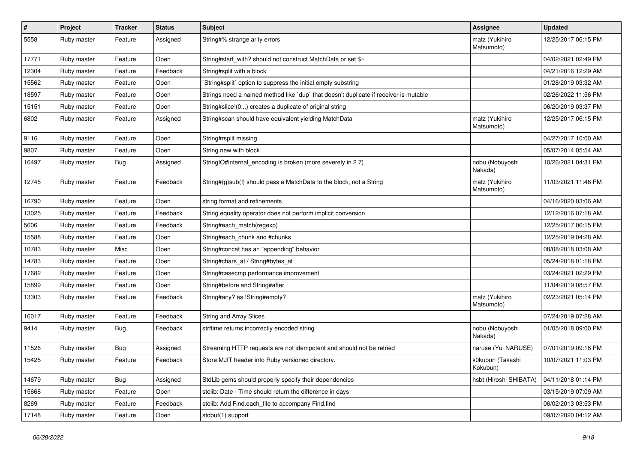| $\sharp$ | Project     | <b>Tracker</b> | <b>Status</b> | <b>Subject</b>                                                                       | Assignee                     | <b>Updated</b>      |
|----------|-------------|----------------|---------------|--------------------------------------------------------------------------------------|------------------------------|---------------------|
| 5558     | Ruby master | Feature        | Assigned      | String#% strange arity errors                                                        | matz (Yukihiro<br>Matsumoto) | 12/25/2017 06:15 PM |
| 17771    | Ruby master | Feature        | Open          | String#start_with? should not construct MatchData or set \$~                         |                              | 04/02/2021 02:49 PM |
| 12304    | Ruby master | Feature        | Feedback      | String#split with a block                                                            |                              | 04/21/2016 12:29 AM |
| 15562    | Ruby master | Feature        | Open          | 'String#split' option to suppress the initial empty substring                        |                              | 01/28/2019 03:32 AM |
| 18597    | Ruby master | Feature        | Open          | Strings need a named method like 'dup' that doesn't duplicate if receiver is mutable |                              | 02/26/2022 11:56 PM |
| 15151    | Ruby master | Feature        | Open          | String#slice!(0,) creates a duplicate of original string                             |                              | 06/20/2019 03:37 PM |
| 6802     | Ruby master | Feature        | Assigned      | String#scan should have equivalent yielding MatchData                                | matz (Yukihiro<br>Matsumoto) | 12/25/2017 06:15 PM |
| 9116     | Ruby master | Feature        | Open          | String#rsplit missing                                                                |                              | 04/27/2017 10:00 AM |
| 9807     | Ruby master | Feature        | Open          | String.new with block                                                                |                              | 05/07/2014 05:54 AM |
| 16497    | Ruby master | Bug            | Assigned      | StringIO#internal_encoding is broken (more severely in 2.7)                          | nobu (Nobuyoshi<br>Nakada)   | 10/26/2021 04:31 PM |
| 12745    | Ruby master | Feature        | Feedback      | String#(g)sub(!) should pass a MatchData to the block, not a String                  | matz (Yukihiro<br>Matsumoto) | 11/03/2021 11:46 PM |
| 16790    | Ruby master | Feature        | Open          | string format and refinements                                                        |                              | 04/16/2020 03:06 AM |
| 13025    | Ruby master | Feature        | Feedback      | String equality operator does not perform implicit conversion                        |                              | 12/12/2016 07:18 AM |
| 5606     | Ruby master | Feature        | Feedback      | String#each_match(regexp)                                                            |                              | 12/25/2017 06:15 PM |
| 15588    | Ruby master | Feature        | Open          | String#each_chunk and #chunks                                                        |                              | 12/25/2019 04:28 AM |
| 10783    | Ruby master | Misc           | Open          | String#concat has an "appending" behavior                                            |                              | 08/08/2018 03:08 AM |
| 14783    | Ruby master | Feature        | Open          | String#chars_at / String#bytes_at                                                    |                              | 05/24/2018 01:18 PM |
| 17682    | Ruby master | Feature        | Open          | String#casecmp performance improvement                                               |                              | 03/24/2021 02:29 PM |
| 15899    | Ruby master | Feature        | Open          | String#before and String#after                                                       |                              | 11/04/2019 08:57 PM |
| 13303    | Ruby master | Feature        | Feedback      | String#any? as !String#empty?                                                        | matz (Yukihiro<br>Matsumoto) | 02/23/2021 05:14 PM |
| 16017    | Ruby master | Feature        | Feedback      | <b>String and Array Slices</b>                                                       |                              | 07/24/2019 07:28 AM |
| 9414     | Ruby master | Bug            | Feedback      | strftime returns incorrectly encoded string                                          | nobu (Nobuyoshi<br>Nakada)   | 01/05/2018 09:00 PM |
| 11526    | Ruby master | Bug            | Assigned      | Streaming HTTP requests are not idempotent and should not be retried                 | naruse (Yui NARUSE)          | 07/01/2019 09:16 PM |
| 15425    | Ruby master | Feature        | Feedback      | Store MJIT header into Ruby versioned directory.                                     | k0kubun (Takashi<br>Kokubun) | 10/07/2021 11:03 PM |
| 14679    | Ruby master | Bug            | Assigned      | StdLib gems should properly specify their dependencies                               | hsbt (Hiroshi SHIBATA)       | 04/11/2018 01:14 PM |
| 15668    | Ruby master | Feature        | Open          | stdlib: Date - Time should return the difference in days                             |                              | 03/15/2019 07:09 AM |
| 8269     | Ruby master | Feature        | Feedback      | stdlib: Add Find.each_file to accompany Find.find                                    |                              | 06/02/2013 03:53 PM |
| 17148    | Ruby master | Feature        | Open          | stdbuf(1) support                                                                    |                              | 09/07/2020 04:12 AM |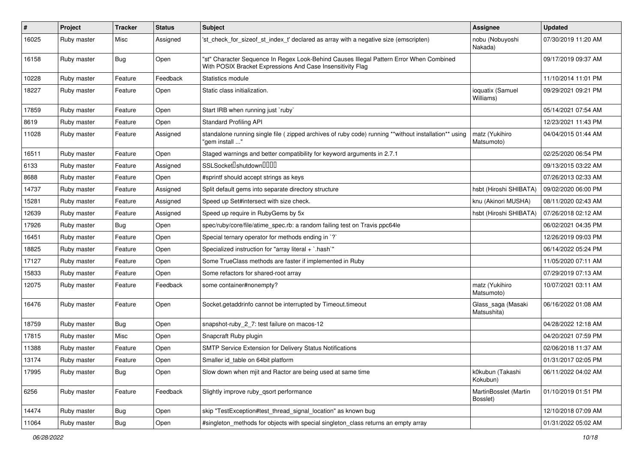| $\sharp$ | Project     | <b>Tracker</b> | <b>Status</b> | <b>Subject</b>                                                                                                                                        | <b>Assignee</b>                   | <b>Updated</b>      |
|----------|-------------|----------------|---------------|-------------------------------------------------------------------------------------------------------------------------------------------------------|-----------------------------------|---------------------|
| 16025    | Ruby master | Misc           | Assigned      | 'st_check_for_sizeof_st_index_t' declared as array with a negative size (emscripten)                                                                  | nobu (Nobuyoshi<br>Nakada)        | 07/30/2019 11:20 AM |
| 16158    | Ruby master | Bug            | Open          | "st" Character Sequence In Regex Look-Behind Causes Illegal Pattern Error When Combined<br>With POSIX Bracket Expressions And Case Insensitivity Flag |                                   | 09/17/2019 09:37 AM |
| 10228    | Ruby master | Feature        | Feedback      | Statistics module                                                                                                                                     |                                   | 11/10/2014 11:01 PM |
| 18227    | Ruby master | Feature        | Open          | Static class initialization.                                                                                                                          | ioquatix (Samuel<br>Williams)     | 09/29/2021 09:21 PM |
| 17859    | Ruby master | Feature        | Open          | Start IRB when running just `ruby`                                                                                                                    |                                   | 05/14/2021 07:54 AM |
| 8619     | Ruby master | Feature        | Open          | <b>Standard Profiling API</b>                                                                                                                         |                                   | 12/23/2021 11:43 PM |
| 11028    | Ruby master | Feature        | Assigned      | standalone running single file ( zipped archives of ruby code) running **without installation** using<br>"gem install "                               | matz (Yukihiro<br>Matsumoto)      | 04/04/2015 01:44 AM |
| 16511    | Ruby master | Feature        | Open          | Staged warnings and better compatibility for keyword arguments in 2.7.1                                                                               |                                   | 02/25/2020 06:54 PM |
| 6133     | Ruby master | Feature        | Assigned      | SSLSocket <sup>[]</sup> shutdown <sup>[][]</sup>                                                                                                      |                                   | 09/13/2015 03:22 AM |
| 8688     | Ruby master | Feature        | Open          | #sprintf should accept strings as keys                                                                                                                |                                   | 07/26/2013 02:33 AM |
| 14737    | Ruby master | Feature        | Assigned      | Split default gems into separate directory structure                                                                                                  | hsbt (Hiroshi SHIBATA)            | 09/02/2020 06:00 PM |
| 15281    | Ruby master | Feature        | Assigned      | Speed up Set#intersect with size check.                                                                                                               | knu (Akinori MUSHA)               | 08/11/2020 02:43 AM |
| 12639    | Ruby master | Feature        | Assigned      | Speed up require in RubyGems by 5x                                                                                                                    | hsbt (Hiroshi SHIBATA)            | 07/26/2018 02:12 AM |
| 17926    | Ruby master | Bug            | Open          | spec/ruby/core/file/atime_spec.rb: a random failing test on Travis ppc64le                                                                            |                                   | 06/02/2021 04:35 PM |
| 16451    | Ruby master | Feature        | Open          | Special ternary operator for methods ending in `?`                                                                                                    |                                   | 12/26/2019 09:03 PM |
| 18825    | Ruby master | Feature        | Open          | Specialized instruction for "array literal + `.hash`"                                                                                                 |                                   | 06/14/2022 05:24 PM |
| 17127    | Ruby master | Feature        | Open          | Some TrueClass methods are faster if implemented in Ruby                                                                                              |                                   | 11/05/2020 07:11 AM |
| 15833    | Ruby master | Feature        | Open          | Some refactors for shared-root array                                                                                                                  |                                   | 07/29/2019 07:13 AM |
| 12075    | Ruby master | Feature        | Feedback      | some container#nonempty?                                                                                                                              | matz (Yukihiro<br>Matsumoto)      | 10/07/2021 03:11 AM |
| 16476    | Ruby master | Feature        | Open          | Socket.getaddrinfo cannot be interrupted by Timeout.timeout                                                                                           | Glass_saga (Masaki<br>Matsushita) | 06/16/2022 01:08 AM |
| 18759    | Ruby master | Bug            | Open          | snapshot-ruby_2_7: test failure on macos-12                                                                                                           |                                   | 04/28/2022 12:18 AM |
| 17815    | Ruby master | Misc           | Open          | Snapcraft Ruby plugin                                                                                                                                 |                                   | 04/20/2021 07:59 PM |
| 11388    | Ruby master | Feature        | Open          | SMTP Service Extension for Delivery Status Notifications                                                                                              |                                   | 02/06/2018 11:37 AM |
| 13174    | Ruby master | Feature        | Open          | Smaller id table on 64 bit platform                                                                                                                   |                                   | 01/31/2017 02:05 PM |
| 17995    | Ruby master | <b>Bug</b>     | Open          | Slow down when mjit and Ractor are being used at same time                                                                                            | k0kubun (Takashi<br>Kokubun)      | 06/11/2022 04:02 AM |
| 6256     | Ruby master | Feature        | Feedback      | Slightly improve ruby_qsort performance                                                                                                               | MartinBosslet (Martin<br>Bosslet) | 01/10/2019 01:51 PM |
| 14474    | Ruby master | Bug            | Open          | skip "TestException#test thread signal location" as known bug                                                                                         |                                   | 12/10/2018 07:09 AM |
| 11064    | Ruby master | Bug            | Open          | #singleton_methods for objects with special singleton_class returns an empty array                                                                    |                                   | 01/31/2022 05:02 AM |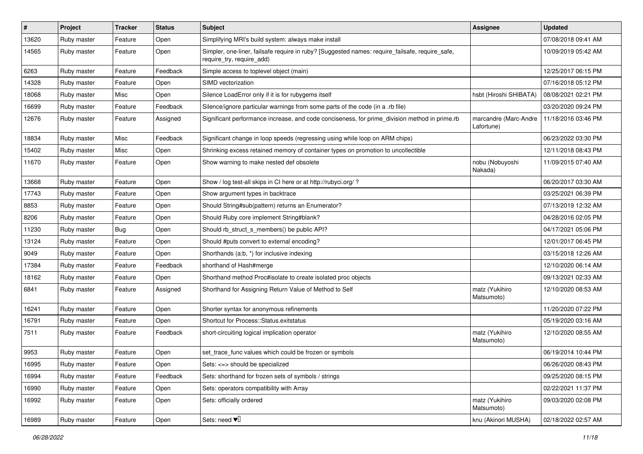| $\vert$ # | Project     | <b>Tracker</b> | <b>Status</b> | Subject                                                                                                                      | <b>Assignee</b>                     | <b>Updated</b>      |
|-----------|-------------|----------------|---------------|------------------------------------------------------------------------------------------------------------------------------|-------------------------------------|---------------------|
| 13620     | Ruby master | Feature        | Open          | Simplifying MRI's build system: always make install                                                                          |                                     | 07/08/2018 09:41 AM |
| 14565     | Ruby master | Feature        | Open          | Simpler, one-liner, failsafe require in ruby? [Suggested names: require_failsafe, require_safe,<br>require_try, require_add) |                                     | 10/09/2019 05:42 AM |
| 6263      | Ruby master | Feature        | Feedback      | Simple access to toplevel object (main)                                                                                      |                                     | 12/25/2017 06:15 PM |
| 14328     | Ruby master | Feature        | Open          | SIMD vectorization                                                                                                           |                                     | 07/16/2018 05:12 PM |
| 18068     | Ruby master | Misc           | Open          | Silence LoadError only if it is for rubygems itself                                                                          | hsbt (Hiroshi SHIBATA)              | 08/08/2021 02:21 PM |
| 16699     | Ruby master | Feature        | Feedback      | Silence/ignore particular warnings from some parts of the code (in a .rb file)                                               |                                     | 03/20/2020 09:24 PM |
| 12676     | Ruby master | Feature        | Assigned      | Significant performance increase, and code conciseness, for prime_division method in prime.rb                                | marcandre (Marc-Andre<br>Lafortune) | 11/18/2016 03:46 PM |
| 18834     | Ruby master | Misc           | Feedback      | Significant change in loop speeds (regressing using while loop on ARM chips)                                                 |                                     | 06/23/2022 03:30 PM |
| 15402     | Ruby master | Misc           | Open          | Shrinking excess retained memory of container types on promotion to uncollectible                                            |                                     | 12/11/2018 08:43 PM |
| 11670     | Ruby master | Feature        | Open          | Show warning to make nested def obsolete                                                                                     | nobu (Nobuyoshi<br>Nakada)          | 11/09/2015 07:40 AM |
| 13668     | Ruby master | Feature        | Open          | Show / log test-all skips in CI here or at http://rubyci.org/ ?                                                              |                                     | 06/20/2017 03:30 AM |
| 17743     | Ruby master | Feature        | Open          | Show argument types in backtrace                                                                                             |                                     | 03/25/2021 06:39 PM |
| 8853      | Ruby master | Feature        | Open          | Should String#sub(pattern) returns an Enumerator?                                                                            |                                     | 07/13/2019 12:32 AM |
| 8206      | Ruby master | Feature        | Open          | Should Ruby core implement String#blank?                                                                                     |                                     | 04/28/2016 02:05 PM |
| 11230     | Ruby master | Bug            | Open          | Should rb_struct_s_members() be public API?                                                                                  |                                     | 04/17/2021 05:06 PM |
| 13124     | Ruby master | Feature        | Open          | Should #puts convert to external encoding?                                                                                   |                                     | 12/01/2017 06:45 PM |
| 9049      | Ruby master | Feature        | Open          | Shorthands (a:b, *) for inclusive indexing                                                                                   |                                     | 03/15/2018 12:26 AM |
| 17384     | Ruby master | Feature        | Feedback      | shorthand of Hash#merge                                                                                                      |                                     | 12/10/2020 06:14 AM |
| 18162     | Ruby master | Feature        | Open          | Shorthand method Proc#isolate to create isolated proc objects                                                                |                                     | 09/13/2021 02:33 AM |
| 6841      | Ruby master | Feature        | Assigned      | Shorthand for Assigning Return Value of Method to Self                                                                       | matz (Yukihiro<br>Matsumoto)        | 12/10/2020 08:53 AM |
| 16241     | Ruby master | Feature        | Open          | Shorter syntax for anonymous refinements                                                                                     |                                     | 11/20/2020 07:22 PM |
| 16791     | Ruby master | Feature        | Open          | Shortcut for Process::Status.exitstatus                                                                                      |                                     | 05/19/2020 03:16 AM |
| 7511      | Ruby master | Feature        | Feedback      | short-circuiting logical implication operator                                                                                | matz (Yukihiro<br>Matsumoto)        | 12/10/2020 08:55 AM |
| 9953      | Ruby master | Feature        | Open          | set_trace_func values which could be frozen or symbols                                                                       |                                     | 06/19/2014 10:44 PM |
| 16995     | Ruby master | Feature        | Open          | Sets: <=> should be specialized                                                                                              |                                     | 06/26/2020 08:43 PM |
| 16994     | Ruby master | Feature        | Feedback      | Sets: shorthand for frozen sets of symbols / strings                                                                         |                                     | 09/25/2020 08:15 PM |
| 16990     | Ruby master | Feature        | Open          | Sets: operators compatibility with Array                                                                                     |                                     | 02/22/2021 11:37 PM |
| 16992     | Ruby master | Feature        | Open          | Sets: officially ordered                                                                                                     | matz (Yukihiro<br>Matsumoto)        | 09/03/2020 02:08 PM |
| 16989     | Ruby master | Feature        | Open          | Sets: need $\Psi$                                                                                                            | knu (Akinori MUSHA)                 | 02/18/2022 02:57 AM |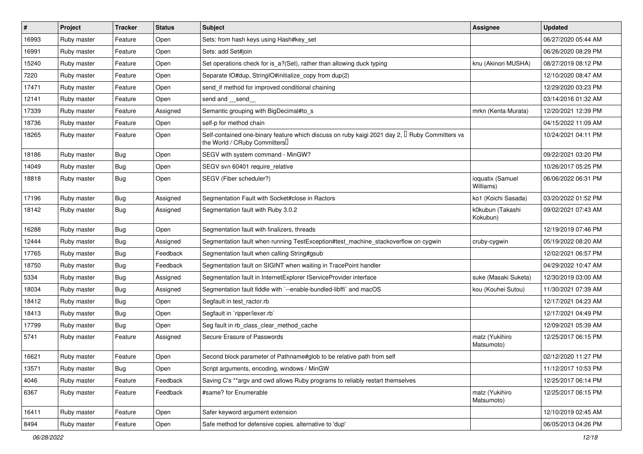| #     | Project     | <b>Tracker</b> | <b>Status</b> | Subject                                                                                                                                  | Assignee                      | <b>Updated</b>      |
|-------|-------------|----------------|---------------|------------------------------------------------------------------------------------------------------------------------------------------|-------------------------------|---------------------|
| 16993 | Ruby master | Feature        | Open          | Sets: from hash keys using Hash#key_set                                                                                                  |                               | 06/27/2020 05:44 AM |
| 16991 | Ruby master | Feature        | Open          | Sets: add Set#join                                                                                                                       |                               | 06/26/2020 08:29 PM |
| 15240 | Ruby master | Feature        | Open          | Set operations check for is a?(Set), rather than allowing duck typing                                                                    | knu (Akinori MUSHA)           | 08/27/2019 08:12 PM |
| 7220  | Ruby master | Feature        | Open          | Separate IO#dup, StringIO#initialize_copy from dup(2)                                                                                    |                               | 12/10/2020 08:47 AM |
| 17471 | Ruby master | Feature        | Open          | send_if method for improved conditional chaining                                                                                         |                               | 12/29/2020 03:23 PM |
| 12141 | Ruby master | Feature        | Open          | send and __send_                                                                                                                         |                               | 03/14/2016 01:32 AM |
| 17339 | Ruby master | Feature        | Assigned      | Semantic grouping with BigDecimal#to_s                                                                                                   | mrkn (Kenta Murata)           | 12/20/2021 12:39 PM |
| 18736 | Ruby master | Feature        | Open          | self-p for method chain                                                                                                                  |                               | 04/15/2022 11:09 AM |
| 18265 | Ruby master | Feature        | Open          | Self-contained one-binary feature which discuss on ruby kaigi 2021 day 2, $\mathbb I$ Ruby Committers vs<br>the World / CRuby Committers |                               | 10/24/2021 04:11 PM |
| 18186 | Ruby master | <b>Bug</b>     | Open          | SEGV with system command - MinGW?                                                                                                        |                               | 09/22/2021 03:20 PM |
| 14049 | Ruby master | Bug            | Open          | SEGV svn 60401 require_relative                                                                                                          |                               | 10/26/2017 05:25 PM |
| 18818 | Ruby master | Bug            | Open          | SEGV (Fiber scheduler?)                                                                                                                  | ioquatix (Samuel<br>Williams) | 06/06/2022 06:31 PM |
| 17196 | Ruby master | <b>Bug</b>     | Assigned      | Segmentation Fault with Socket#close in Ractors                                                                                          | ko1 (Koichi Sasada)           | 03/20/2022 01:52 PM |
| 18142 | Ruby master | Bug            | Assigned      | Segmentation fault with Ruby 3.0.2                                                                                                       | k0kubun (Takashi<br>Kokubun)  | 09/02/2021 07:43 AM |
| 16288 | Ruby master | Bug            | Open          | Segmentation fault with finalizers, threads                                                                                              |                               | 12/19/2019 07:46 PM |
| 12444 | Ruby master | Bug            | Assigned      | Segmentation fault when running TestException#test_machine_stackoverflow on cygwin                                                       | cruby-cygwin                  | 05/19/2022 08:20 AM |
| 17765 | Ruby master | Bug            | Feedback      | Segmentation fault when calling String#gsub                                                                                              |                               | 12/02/2021 06:57 PM |
| 18750 | Ruby master | Bug            | Feedback      | Segmentation fault on SIGINT when waiting in TracePoint handler                                                                          |                               | 04/29/2022 10:47 AM |
| 5334  | Ruby master | Bug            | Assigned      | Segmentation fault in InternetExplorer IServiceProvider interface                                                                        | suke (Masaki Suketa)          | 12/30/2019 03:00 AM |
| 18034 | Ruby master | Bug            | Assigned      | Segmentation fault fiddle with `--enable-bundled-libffi` and macOS                                                                       | kou (Kouhei Sutou)            | 11/30/2021 07:39 AM |
| 18412 | Ruby master | <b>Bug</b>     | Open          | Segfault in test ractor.rb                                                                                                               |                               | 12/17/2021 04:23 AM |
| 18413 | Ruby master | <b>Bug</b>     | Open          | Segfault in `ripper/lexer.rb`                                                                                                            |                               | 12/17/2021 04:49 PM |
| 17799 | Ruby master | Bug            | Open          | Seg fault in rb_class_clear_method_cache                                                                                                 |                               | 12/09/2021 05:39 AM |
| 5741  | Ruby master | Feature        | Assigned      | Secure Erasure of Passwords                                                                                                              | matz (Yukihiro<br>Matsumoto)  | 12/25/2017 06:15 PM |
| 16621 | Ruby master | Feature        | Open          | Second block parameter of Pathname#glob to be relative path from self                                                                    |                               | 02/12/2020 11:27 PM |
| 13571 | Ruby master | <b>Bug</b>     | Open          | Script arguments, encoding, windows / MinGW                                                                                              |                               | 11/12/2017 10:53 PM |
| 4046  | Ruby master | Feature        | Feedback      | Saving C's **argv and cwd allows Ruby programs to reliably restart themselves                                                            |                               | 12/25/2017 06:14 PM |
| 6367  | Ruby master | Feature        | Feedback      | #same? for Enumerable                                                                                                                    | matz (Yukihiro<br>Matsumoto)  | 12/25/2017 06:15 PM |
| 16411 | Ruby master | Feature        | Open          | Safer keyword argument extension                                                                                                         |                               | 12/10/2019 02:45 AM |
| 8494  | Ruby master | Feature        | Open          | Safe method for defensive copies. alternative to 'dup'                                                                                   |                               | 06/05/2013 04:26 PM |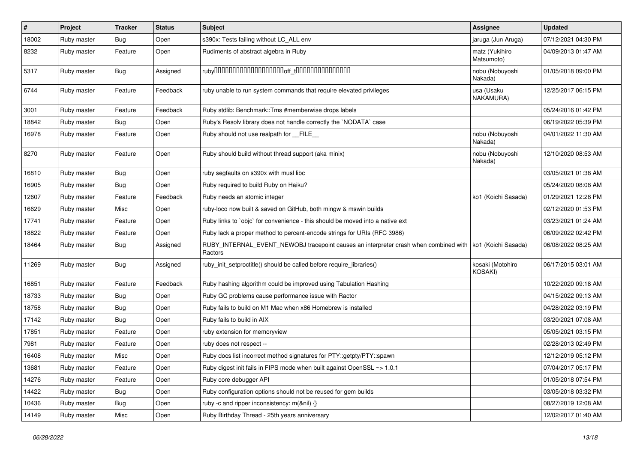| #     | Project     | <b>Tracker</b> | <b>Status</b> | <b>Subject</b>                                                                                                        | Assignee                     | <b>Updated</b>      |
|-------|-------------|----------------|---------------|-----------------------------------------------------------------------------------------------------------------------|------------------------------|---------------------|
| 18002 | Ruby master | Bug            | Open          | s390x: Tests failing without LC_ALL env                                                                               | jaruga (Jun Aruga)           | 07/12/2021 04:30 PM |
| 8232  | Ruby master | Feature        | Open          | Rudiments of abstract algebra in Ruby                                                                                 | matz (Yukihiro<br>Matsumoto) | 04/09/2013 01:47 AM |
| 5317  | Ruby master | Bug            | Assigned      |                                                                                                                       | nobu (Nobuyoshi<br>Nakada)   | 01/05/2018 09:00 PM |
| 6744  | Ruby master | Feature        | Feedback      | ruby unable to run system commands that require elevated privileges                                                   | usa (Usaku<br>NAKAMURA)      | 12/25/2017 06:15 PM |
| 3001  | Ruby master | Feature        | Feedback      | Ruby stdlib: Benchmark::Tms #memberwise drops labels                                                                  |                              | 05/24/2016 01:42 PM |
| 18842 | Ruby master | Bug            | Open          | Ruby's Resolv library does not handle correctly the `NODATA` case                                                     |                              | 06/19/2022 05:39 PM |
| 16978 | Ruby master | Feature        | Open          | Ruby should not use realpath for FILE                                                                                 | nobu (Nobuyoshi<br>Nakada)   | 04/01/2022 11:30 AM |
| 8270  | Ruby master | Feature        | Open          | Ruby should build without thread support (aka minix)                                                                  | nobu (Nobuyoshi<br>Nakada)   | 12/10/2020 08:53 AM |
| 16810 | Ruby master | Bug            | Open          | ruby segfaults on s390x with musl libc                                                                                |                              | 03/05/2021 01:38 AM |
| 16905 | Ruby master | Bug            | Open          | Ruby required to build Ruby on Haiku?                                                                                 |                              | 05/24/2020 08:08 AM |
| 12607 | Ruby master | Feature        | Feedback      | Ruby needs an atomic integer                                                                                          | ko1 (Koichi Sasada)          | 01/29/2021 12:28 PM |
| 16629 | Ruby master | Misc           | Open          | ruby-loco now built & saved on GitHub, both mingw & mswin builds                                                      |                              | 02/12/2020 01:53 PM |
| 17741 | Ruby master | Feature        | Open          | Ruby links to `objc` for convenience - this should be moved into a native ext                                         |                              | 03/23/2021 01:24 AM |
| 18822 | Ruby master | Feature        | Open          | Ruby lack a proper method to percent-encode strings for URIs (RFC 3986)                                               |                              | 06/09/2022 02:42 PM |
| 18464 | Ruby master | Bug            | Assigned      | RUBY_INTERNAL_EVENT_NEWOBJ tracepoint causes an interpreter crash when combined with   ko1 (Koichi Sasada)<br>Ractors |                              | 06/08/2022 08:25 AM |
| 11269 | Ruby master | <b>Bug</b>     | Assigned      | ruby_init_setproctitle() should be called before require_libraries()                                                  | kosaki (Motohiro<br>KOSAKI)  | 06/17/2015 03:01 AM |
| 16851 | Ruby master | Feature        | Feedback      | Ruby hashing algorithm could be improved using Tabulation Hashing                                                     |                              | 10/22/2020 09:18 AM |
| 18733 | Ruby master | <b>Bug</b>     | Open          | Ruby GC problems cause performance issue with Ractor                                                                  |                              | 04/15/2022 09:13 AM |
| 18758 | Ruby master | <b>Bug</b>     | Open          | Ruby fails to build on M1 Mac when x86 Homebrew is installed                                                          |                              | 04/28/2022 03:19 PM |
| 17142 | Ruby master | Bug            | Open          | Ruby fails to build in AIX                                                                                            |                              | 03/20/2021 07:08 AM |
| 17851 | Ruby master | Feature        | Open          | ruby extension for memoryview                                                                                         |                              | 05/05/2021 03:15 PM |
| 7981  | Ruby master | Feature        | Open          | ruby does not respect --                                                                                              |                              | 02/28/2013 02:49 PM |
| 16408 | Ruby master | Misc           | Open          | Ruby docs list incorrect method signatures for PTY::getpty/PTY::spawn                                                 |                              | 12/12/2019 05:12 PM |
| 13681 | Ruby master | Feature        | Open          | Ruby digest init fails in FIPS mode when built against OpenSSL ~> 1.0.1                                               |                              | 07/04/2017 05:17 PM |
| 14276 | Ruby master | Feature        | Open          | Ruby core debugger API                                                                                                |                              | 01/05/2018 07:54 PM |
| 14422 | Ruby master | <b>Bug</b>     | Open          | Ruby configuration options should not be reused for gem builds                                                        |                              | 03/05/2018 03:32 PM |
| 10436 | Ruby master | <b>Bug</b>     | Open          | ruby -c and ripper inconsistency: m(&nil) {}                                                                          |                              | 08/27/2019 12:08 AM |
| 14149 | Ruby master | Misc           | Open          | Ruby Birthday Thread - 25th years anniversary                                                                         |                              | 12/02/2017 01:40 AM |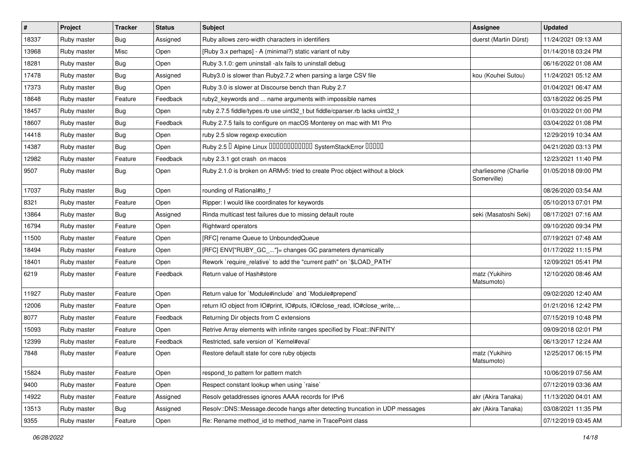| #     | Project     | <b>Tracker</b> | <b>Status</b> | Subject                                                                      | Assignee                            | <b>Updated</b>      |
|-------|-------------|----------------|---------------|------------------------------------------------------------------------------|-------------------------------------|---------------------|
| 18337 | Ruby master | Bug            | Assigned      | Ruby allows zero-width characters in identifiers                             | duerst (Martin Dürst)               | 11/24/2021 09:13 AM |
| 13968 | Ruby master | Misc           | Open          | [Ruby 3.x perhaps] - A (minimal?) static variant of ruby                     |                                     | 01/14/2018 03:24 PM |
| 18281 | Ruby master | <b>Bug</b>     | Open          | Ruby 3.1.0: gem uninstall -alx fails to uninstall debug                      |                                     | 06/16/2022 01:08 AM |
| 17478 | Ruby master | Bug            | Assigned      | Ruby3.0 is slower than Ruby2.7.2 when parsing a large CSV file               | kou (Kouhei Sutou)                  | 11/24/2021 05:12 AM |
| 17373 | Ruby master | Bug            | Open          | Ruby 3.0 is slower at Discourse bench than Ruby 2.7                          |                                     | 01/04/2021 06:47 AM |
| 18648 | Ruby master | Feature        | Feedback      | ruby2_keywords and  name arguments with impossible names                     |                                     | 03/18/2022 06:25 PM |
| 18457 | Ruby master | Bug            | Open          | ruby 2.7.5 fiddle/types.rb use uint32_t but fiddle/cparser.rb lacks uint32_t |                                     | 01/03/2022 01:00 PM |
| 18607 | Ruby master | Bug            | Feedback      | Ruby 2.7.5 fails to configure on macOS Monterey on mac with M1 Pro           |                                     | 03/04/2022 01:08 PM |
| 14418 | Ruby master | Bug            | Open          | ruby 2.5 slow regexp execution                                               |                                     | 12/29/2019 10:34 AM |
| 14387 | Ruby master | Bug            | Open          | Ruby 2.5 <sup>D</sup> Alpine Linux 000000000000 SystemStackError 00000       |                                     | 04/21/2020 03:13 PM |
| 12982 | Ruby master | Feature        | Feedback      | ruby 2.3.1 got crash on macos                                                |                                     | 12/23/2021 11:40 PM |
| 9507  | Ruby master | Bug            | Open          | Ruby 2.1.0 is broken on ARMv5: tried to create Proc object without a block   | charliesome (Charlie<br>Somerville) | 01/05/2018 09:00 PM |
| 17037 | Ruby master | Bug            | Open          | rounding of Rational#to_f                                                    |                                     | 08/26/2020 03:54 AM |
| 8321  | Ruby master | Feature        | Open          | Ripper: I would like coordinates for keywords                                |                                     | 05/10/2013 07:01 PM |
| 13864 | Ruby master | Bug            | Assigned      | Rinda multicast test failures due to missing default route                   | seki (Masatoshi Seki)               | 08/17/2021 07:16 AM |
| 16794 | Ruby master | Feature        | Open          | <b>Rightward operators</b>                                                   |                                     | 09/10/2020 09:34 PM |
| 11500 | Ruby master | Feature        | Open          | [RFC] rename Queue to UnboundedQueue                                         |                                     | 07/19/2021 07:48 AM |
| 18494 | Ruby master | Feature        | Open          | [RFC] ENV["RUBY_GC_"]= changes GC parameters dynamically                     |                                     | 01/17/2022 11:15 PM |
| 18401 | Ruby master | Feature        | Open          | Rework `require_relative` to add the "current path" on `\$LOAD_PATH`         |                                     | 12/09/2021 05:41 PM |
| 6219  | Ruby master | Feature        | Feedback      | Return value of Hash#store                                                   | matz (Yukihiro<br>Matsumoto)        | 12/10/2020 08:46 AM |
| 11927 | Ruby master | Feature        | Open          | Return value for `Module#include` and `Module#prepend`                       |                                     | 09/02/2020 12:40 AM |
| 12006 | Ruby master | Feature        | Open          | return IO object from IO#print, IO#puts, IO#close_read, IO#close_write,      |                                     | 01/21/2016 12:42 PM |
| 8077  | Ruby master | Feature        | Feedback      | Returning Dir objects from C extensions                                      |                                     | 07/15/2019 10:48 PM |
| 15093 | Ruby master | Feature        | Open          | Retrive Array elements with infinite ranges specified by Float::INFINITY     |                                     | 09/09/2018 02:01 PM |
| 12399 | Ruby master | Feature        | Feedback      | Restricted, safe version of `Kernel#eval`                                    |                                     | 06/13/2017 12:24 AM |
| 7848  | Ruby master | Feature        | Open          | Restore default state for core ruby objects                                  | matz (Yukihiro<br>Matsumoto)        | 12/25/2017 06:15 PM |
| 15824 | Ruby master | Feature        | Open          | respond_to pattern for pattern match                                         |                                     | 10/06/2019 07:56 AM |
| 9400  | Ruby master | Feature        | Open          | Respect constant lookup when using `raise`                                   |                                     | 07/12/2019 03:36 AM |
| 14922 | Ruby master | Feature        | Assigned      | Resolv getaddresses ignores AAAA records for IPv6                            | akr (Akira Tanaka)                  | 11/13/2020 04:01 AM |
| 13513 | Ruby master | Bug            | Assigned      | Resolv::DNS::Message.decode hangs after detecting truncation in UDP messages | akr (Akira Tanaka)                  | 03/08/2021 11:35 PM |
| 9355  | Ruby master | Feature        | Open          | Re: Rename method_id to method_name in TracePoint class                      |                                     | 07/12/2019 03:45 AM |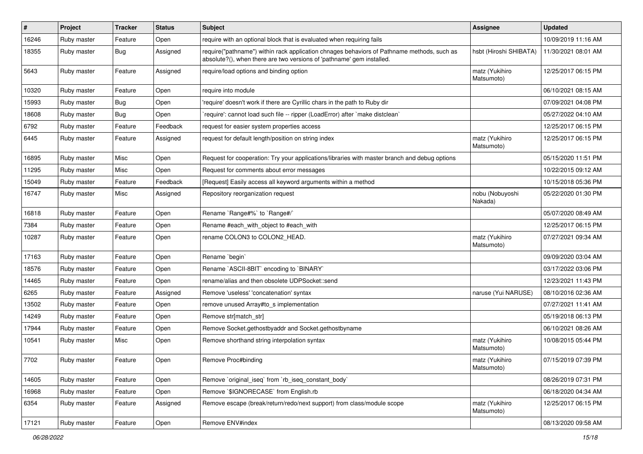| #     | Project     | <b>Tracker</b> | <b>Status</b> | Subject                                                                                                                                                             | Assignee                     | <b>Updated</b>      |
|-------|-------------|----------------|---------------|---------------------------------------------------------------------------------------------------------------------------------------------------------------------|------------------------------|---------------------|
| 16246 | Ruby master | Feature        | Open          | require with an optional block that is evaluated when requiring fails                                                                                               |                              | 10/09/2019 11:16 AM |
| 18355 | Ruby master | <b>Bug</b>     | Assigned      | require("pathname") within rack application chnages behaviors of Pathname methods, such as<br>absolute?(), when there are two versions of 'pathname' gem installed. | hsbt (Hiroshi SHIBATA)       | 11/30/2021 08:01 AM |
| 5643  | Ruby master | Feature        | Assigned      | require/load options and binding option                                                                                                                             | matz (Yukihiro<br>Matsumoto) | 12/25/2017 06:15 PM |
| 10320 | Ruby master | Feature        | Open          | require into module                                                                                                                                                 |                              | 06/10/2021 08:15 AM |
| 15993 | Ruby master | Bug            | Open          | 'require' doesn't work if there are Cyrillic chars in the path to Ruby dir                                                                                          |                              | 07/09/2021 04:08 PM |
| 18608 | Ruby master | Bug            | Open          | require': cannot load such file -- ripper (LoadError) after `make distclean`                                                                                        |                              | 05/27/2022 04:10 AM |
| 6792  | Ruby master | Feature        | Feedback      | request for easier system properties access                                                                                                                         |                              | 12/25/2017 06:15 PM |
| 6445  | Ruby master | Feature        | Assigned      | request for default length/position on string index                                                                                                                 | matz (Yukihiro<br>Matsumoto) | 12/25/2017 06:15 PM |
| 16895 | Ruby master | Misc           | Open          | Request for cooperation: Try your applications/libraries with master branch and debug options                                                                       |                              | 05/15/2020 11:51 PM |
| 11295 | Ruby master | Misc           | Open          | Request for comments about error messages                                                                                                                           |                              | 10/22/2015 09:12 AM |
| 15049 | Ruby master | Feature        | Feedback      | [Request] Easily access all keyword arguments within a method                                                                                                       |                              | 10/15/2018 05:36 PM |
| 16747 | Ruby master | Misc           | Assigned      | Repository reorganization request                                                                                                                                   | nobu (Nobuyoshi<br>Nakada)   | 05/22/2020 01:30 PM |
| 16818 | Ruby master | Feature        | Open          | Rename `Range#%` to `Range#/`                                                                                                                                       |                              | 05/07/2020 08:49 AM |
| 7384  | Ruby master | Feature        | Open          | Rename #each with object to #each with                                                                                                                              |                              | 12/25/2017 06:15 PM |
| 10287 | Ruby master | Feature        | Open          | rename COLON3 to COLON2_HEAD.                                                                                                                                       | matz (Yukihiro<br>Matsumoto) | 07/27/2021 09:34 AM |
| 17163 | Ruby master | Feature        | Open          | Rename `begin`                                                                                                                                                      |                              | 09/09/2020 03:04 AM |
| 18576 | Ruby master | Feature        | Open          | Rename `ASCII-8BIT` encoding to `BINARY`                                                                                                                            |                              | 03/17/2022 03:06 PM |
| 14465 | Ruby master | Feature        | Open          | rename/alias and then obsolete UDPSocket::send                                                                                                                      |                              | 12/23/2021 11:43 PM |
| 6265  | Ruby master | Feature        | Assigned      | Remove 'useless' 'concatenation' syntax                                                                                                                             | naruse (Yui NARUSE)          | 08/10/2016 02:36 AM |
| 13502 | Ruby master | Feature        | Open          | remove unused Array#to_s implementation                                                                                                                             |                              | 07/27/2021 11:41 AM |
| 14249 | Ruby master | Feature        | Open          | Remove str[match_str]                                                                                                                                               |                              | 05/19/2018 06:13 PM |
| 17944 | Ruby master | Feature        | Open          | Remove Socket.gethostbyaddr and Socket.gethostbyname                                                                                                                |                              | 06/10/2021 08:26 AM |
| 10541 | Ruby master | Misc           | Open          | Remove shorthand string interpolation syntax                                                                                                                        | matz (Yukihiro<br>Matsumoto) | 10/08/2015 05:44 PM |
| 7702  | Ruby master | Feature        | Open          | Remove Proc#binding                                                                                                                                                 | matz (Yukihiro<br>Matsumoto) | 07/15/2019 07:39 PM |
| 14605 | Ruby master | Feature        | Open          | Remove `original_iseq` from `rb_iseq_constant_body`                                                                                                                 |                              | 08/26/2019 07:31 PM |
| 16968 | Ruby master | Feature        | Open          | Remove `\$IGNORECASE` from English.rb                                                                                                                               |                              | 06/18/2020 04:34 AM |
| 6354  | Ruby master | Feature        | Assigned      | Remove escape (break/return/redo/next support) from class/module scope                                                                                              | matz (Yukihiro<br>Matsumoto) | 12/25/2017 06:15 PM |
| 17121 | Ruby master | Feature        | Open          | Remove ENV#index                                                                                                                                                    |                              | 08/13/2020 09:58 AM |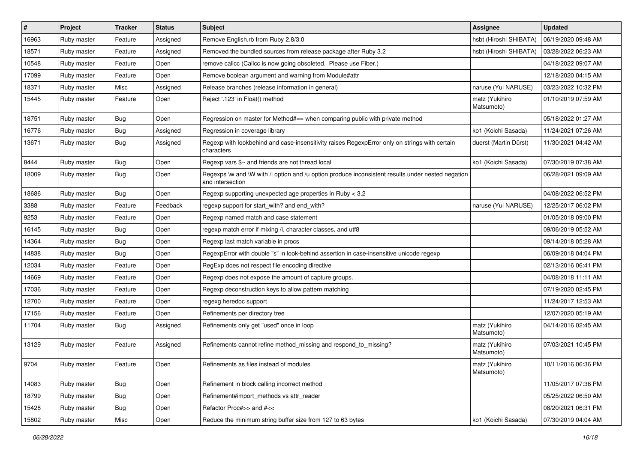| $\vert$ # | Project     | <b>Tracker</b> | <b>Status</b> | Subject                                                                                                               | <b>Assignee</b>              | <b>Updated</b>      |
|-----------|-------------|----------------|---------------|-----------------------------------------------------------------------------------------------------------------------|------------------------------|---------------------|
| 16963     | Ruby master | Feature        | Assigned      | Remove English.rb from Ruby 2.8/3.0                                                                                   | hsbt (Hiroshi SHIBATA)       | 06/19/2020 09:48 AM |
| 18571     | Ruby master | Feature        | Assigned      | Removed the bundled sources from release package after Ruby 3.2                                                       | hsbt (Hiroshi SHIBATA)       | 03/28/2022 06:23 AM |
| 10548     | Ruby master | Feature        | Open          | remove callcc (Callcc is now going obsoleted. Please use Fiber.)                                                      |                              | 04/18/2022 09:07 AM |
| 17099     | Ruby master | Feature        | Open          | Remove boolean argument and warning from Module#attr                                                                  |                              | 12/18/2020 04:15 AM |
| 18371     | Ruby master | Misc           | Assigned      | Release branches (release information in general)                                                                     | naruse (Yui NARUSE)          | 03/23/2022 10:32 PM |
| 15445     | Ruby master | Feature        | Open          | Reject '.123' in Float() method                                                                                       | matz (Yukihiro<br>Matsumoto) | 01/10/2019 07:59 AM |
| 18751     | Ruby master | <b>Bug</b>     | Open          | Regression on master for Method#== when comparing public with private method                                          |                              | 05/18/2022 01:27 AM |
| 16776     | Ruby master | Bug            | Assigned      | Regression in coverage library                                                                                        | ko1 (Koichi Sasada)          | 11/24/2021 07:26 AM |
| 13671     | Ruby master | <b>Bug</b>     | Assigned      | Regexp with lookbehind and case-insensitivity raises RegexpError only on strings with certain<br>characters           | duerst (Martin Dürst)        | 11/30/2021 04:42 AM |
| 8444      | Ruby master | <b>Bug</b>     | Open          | Regexp vars $\frac{6}{5}$ and friends are not thread local                                                            | ko1 (Koichi Sasada)          | 07/30/2019 07:38 AM |
| 18009     | Ruby master | Bug            | Open          | Regexps \w and \W with /i option and /u option produce inconsistent results under nested negation<br>and intersection |                              | 06/28/2021 09:09 AM |
| 18686     | Ruby master | Bug            | Open          | Regexp supporting unexpected age properties in Ruby < 3.2                                                             |                              | 04/08/2022 06:52 PM |
| 3388      | Ruby master | Feature        | Feedback      | regexp support for start with? and end with?                                                                          | naruse (Yui NARUSE)          | 12/25/2017 06:02 PM |
| 9253      | Ruby master | Feature        | Open          | Regexp named match and case statement                                                                                 |                              | 01/05/2018 09:00 PM |
| 16145     | Ruby master | Bug            | Open          | regexp match error if mixing /i, character classes, and utf8                                                          |                              | 09/06/2019 05:52 AM |
| 14364     | Ruby master | <b>Bug</b>     | Open          | Regexp last match variable in procs                                                                                   |                              | 09/14/2018 05:28 AM |
| 14838     | Ruby master | <b>Bug</b>     | Open          | RegexpError with double "s" in look-behind assertion in case-insensitive unicode regexp                               |                              | 06/09/2018 04:04 PM |
| 12034     | Ruby master | Feature        | Open          | RegExp does not respect file encoding directive                                                                       |                              | 02/13/2016 06:41 PM |
| 14669     | Ruby master | Feature        | Open          | Regexp does not expose the amount of capture groups.                                                                  |                              | 04/08/2018 11:11 AM |
| 17036     | Ruby master | Feature        | Open          | Regexp deconstruction keys to allow pattern matching                                                                  |                              | 07/19/2020 02:45 PM |
| 12700     | Ruby master | Feature        | Open          | regexg heredoc support                                                                                                |                              | 11/24/2017 12:53 AM |
| 17156     | Ruby master | Feature        | Open          | Refinements per directory tree                                                                                        |                              | 12/07/2020 05:19 AM |
| 11704     | Ruby master | Bug            | Assigned      | Refinements only get "used" once in loop                                                                              | matz (Yukihiro<br>Matsumoto) | 04/14/2016 02:45 AM |
| 13129     | Ruby master | Feature        | Assigned      | Refinements cannot refine method_missing and respond_to_missing?                                                      | matz (Yukihiro<br>Matsumoto) | 07/03/2021 10:45 PM |
| 9704      | Ruby master | Feature        | Open          | Refinements as files instead of modules                                                                               | matz (Yukihiro<br>Matsumoto) | 10/11/2016 06:36 PM |
| 14083     | Ruby master | <b>Bug</b>     | Open          | Refinement in block calling incorrect method                                                                          |                              | 11/05/2017 07:36 PM |
| 18799     | Ruby master | <b>Bug</b>     | Open          | Refinement#import methods vs attr reader                                                                              |                              | 05/25/2022 06:50 AM |
| 15428     | Ruby master | <b>Bug</b>     | Open          | Refactor Proc#>> and #<<                                                                                              |                              | 08/20/2021 06:31 PM |
| 15802     | Ruby master | Misc           | Open          | Reduce the minimum string buffer size from 127 to 63 bytes                                                            | ko1 (Koichi Sasada)          | 07/30/2019 04:04 AM |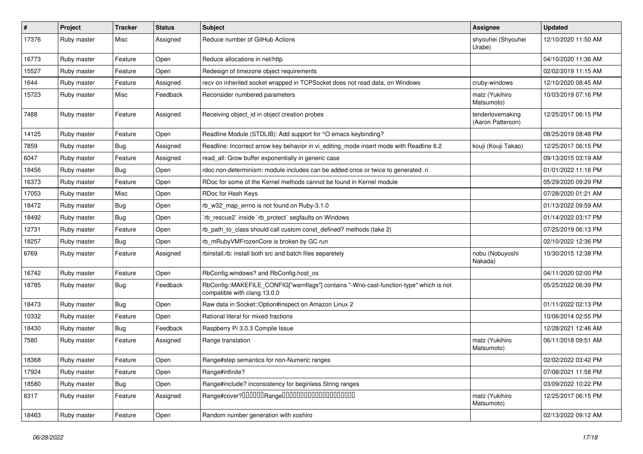| $\sharp$ | Project     | <b>Tracker</b> | <b>Status</b> | <b>Subject</b>                                                                                                         | Assignee                              | <b>Updated</b>      |
|----------|-------------|----------------|---------------|------------------------------------------------------------------------------------------------------------------------|---------------------------------------|---------------------|
| 17376    | Ruby master | Misc           | Assigned      | Reduce number of GitHub Actions                                                                                        | shyouhei (Shyouhei<br>Urabe)          | 12/10/2020 11:50 AM |
| 16773    | Ruby master | Feature        | Open          | Reduce allocations in net/http                                                                                         |                                       | 04/10/2020 11:36 AM |
| 15527    | Ruby master | Feature        | Open          | Redesign of timezone object requirements                                                                               |                                       | 02/02/2019 11:15 AM |
| 1644     | Ruby master | Feature        | Assigned      | recv on inherited socket wrapped in TCPSocket does not read data, on Windows                                           | cruby-windows                         | 12/10/2020 08:45 AM |
| 15723    | Ruby master | Misc           | Feedback      | Reconsider numbered parameters                                                                                         | matz (Yukihiro<br>Matsumoto)          | 10/03/2019 07:16 PM |
| 7488     | Ruby master | Feature        | Assigned      | Receiving object_id in object creation probes                                                                          | tenderlovemaking<br>(Aaron Patterson) | 12/25/2017 06:15 PM |
| 14125    | Ruby master | Feature        | Open          | Readline Module (STDLIB): Add support for ^O emacs keybinding?                                                         |                                       | 08/25/2019 08:48 PM |
| 7859     | Ruby master | Bug            | Assigned      | Readline: Incorrect arrow key behavior in vi_editing_mode insert mode with Readline 6.2                                | kouji (Kouji Takao)                   | 12/25/2017 06:15 PM |
| 6047     | Ruby master | Feature        | Assigned      | read_all: Grow buffer exponentially in generic case                                                                    |                                       | 09/13/2015 03:19 AM |
| 18456    | Ruby master | Bug            | Open          | rdoc non-determinism: module includes can be added once or twice to generated .ri                                      |                                       | 01/01/2022 11:16 PM |
| 16373    | Ruby master | Feature        | Open          | RDoc for some of the Kernel methods cannot be found in Kernel module                                                   |                                       | 05/29/2020 09:29 PM |
| 17053    | Ruby master | Misc           | Open          | RDoc for Hash Keys                                                                                                     |                                       | 07/28/2020 01:21 AM |
| 18472    | Ruby master | Bug            | Open          | rb w32 map errno is not found on Ruby-3.1.0                                                                            |                                       | 01/13/2022 09:59 AM |
| 18492    | Ruby master | Bug            | Open          | 'rb_rescue2' inside 'rb_protect' segfaults on Windows                                                                  |                                       | 01/14/2022 03:17 PM |
| 12731    | Ruby master | Feature        | Open          | rb_path_to_class should call custom const_defined? methods (take 2)                                                    |                                       | 07/25/2019 06:13 PM |
| 18257    | Ruby master | Bug            | Open          | rb_mRubyVMFrozenCore is broken by GC run                                                                               |                                       | 02/10/2022 12:36 PM |
| 6769     | Ruby master | Feature        | Assigned      | rbinstall.rb: install both src and batch files separetely                                                              | nobu (Nobuyoshi<br>Nakada)            | 10/30/2015 12:38 PM |
| 16742    | Ruby master | Feature        | Open          | RbConfig.windows? and RbConfig.host_os                                                                                 |                                       | 04/11/2020 02:00 PM |
| 18785    | Ruby master | Bug            | Feedback      | RbConfig::MAKEFILE_CONFIG["warnflags"] contains "-Wno-cast-function-type" which is not<br>compatible with clang 13.0.0 |                                       | 05/25/2022 06:39 PM |
| 18473    | Ruby master | Bug            | Open          | Raw data in Socket:: Option#inspect on Amazon Linux 2                                                                  |                                       | 01/11/2022 02:13 PM |
| 10332    | Ruby master | Feature        | Open          | Rational literal for mixed fractions                                                                                   |                                       | 10/06/2014 02:55 PM |
| 18430    | Ruby master | Bug            | Feedback      | Raspberry Pi 3.0.3 Compile Issue                                                                                       |                                       | 12/28/2021 12:46 AM |
| 7580     | Ruby master | Feature        | Assigned      | Range translation                                                                                                      | matz (Yukihiro<br>Matsumoto)          | 06/11/2018 09:51 AM |
| 18368    | Ruby master | Feature        | Open          | Range#step semantics for non-Numeric ranges                                                                            |                                       | 02/02/2022 03:42 PM |
| 17924    | Ruby master | Feature        | Open          | Range#infinite?                                                                                                        |                                       | 07/08/2021 11:58 PM |
| 18580    | Ruby master | <b>Bug</b>     | Open          | Range#include? inconsistency for beginless String ranges                                                               |                                       | 03/09/2022 10:22 PM |
| 6317     | Ruby master | Feature        | Assigned      |                                                                                                                        | matz (Yukihiro<br>Matsumoto)          | 12/25/2017 06:15 PM |
| 18463    | Ruby master | Feature        | Open          | Random number generation with xoshiro                                                                                  |                                       | 02/13/2022 09:12 AM |